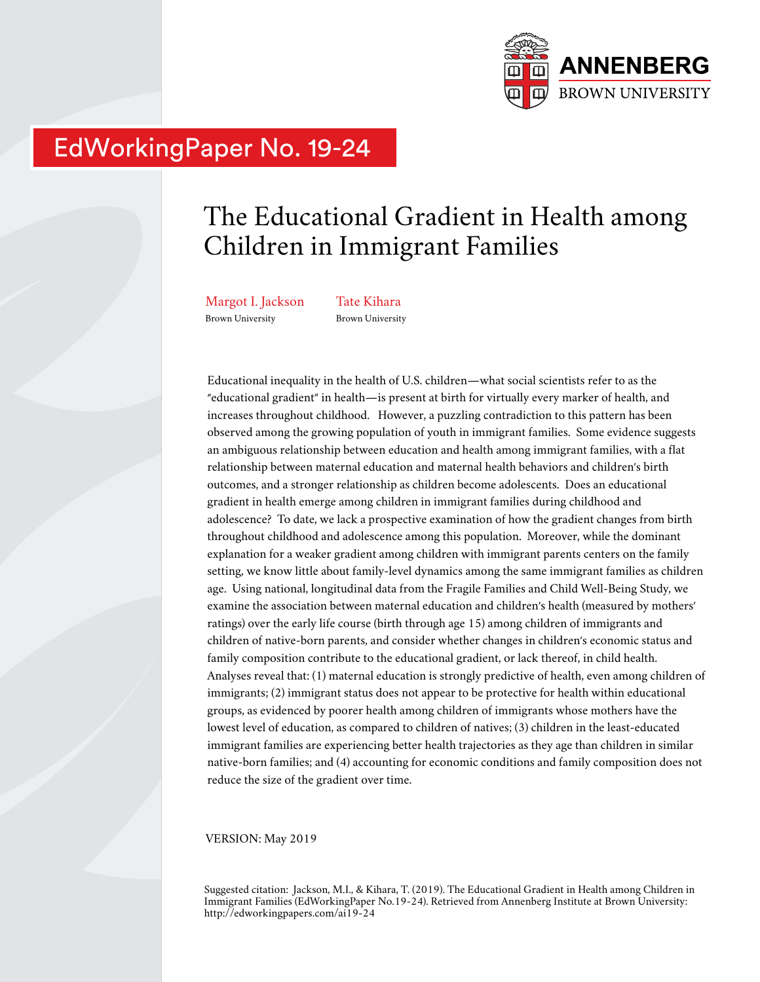

# EdWorkingPaper No. 19-24

# The Educational Gradient in Health among Children in Immigrant Families

Margot I. Jackson Brown University

Tate Kihara Brown University

Educational inequality in the health of U.S. children—what social scientists refer to as the "educational gradient" in health—is present at birth for virtually every marker of health, and increases throughout childhood. However, a puzzling contradiction to this pattern has been observed among the growing population of youth in immigrant families. Some evidence suggests an ambiguous relationship between education and health among immigrant families, with a flat relationship between maternal education and maternal health behaviors and children's birth outcomes, and a stronger relationship as children become adolescents. Does an educational gradient in health emerge among children in immigrant families during childhood and adolescence? To date, we lack a prospective examination of how the gradient changes from birth throughout childhood and adolescence among this population. Moreover, while the dominant explanation for a weaker gradient among children with immigrant parents centers on the family setting, we know little about family-level dynamics among the same immigrant families as children age. Using national, longitudinal data from the Fragile Families and Child Well-Being Study, we examine the association between maternal education and children's health (measured by mothers' ratings) over the early life course (birth through age 15) among children of immigrants and children of native-born parents, and consider whether changes in children's economic status and family composition contribute to the educational gradient, or lack thereof, in child health. Analyses reveal that: (1) maternal education is strongly predictive of health, even among children of immigrants; (2) immigrant status does not appear to be protective for health within educational groups, as evidenced by poorer health among children of immigrants whose mothers have the lowest level of education, as compared to children of natives; (3) children in the least-educated immigrant families are experiencing better health trajectories as they age than children in similar native-born families; and (4) accounting for economic conditions and family composition does not reduce the size of the gradient over time.

VERSION: May 2019

Suggested citation: Jackson, M.I., & Kihara, T. (2019). The Educational Gradient in Health among Children in Immigrant Families (EdWorkingPaper No.19-24). Retrieved from Annenberg Institute at Brown University: http://edworkingpapers.com/ai19-24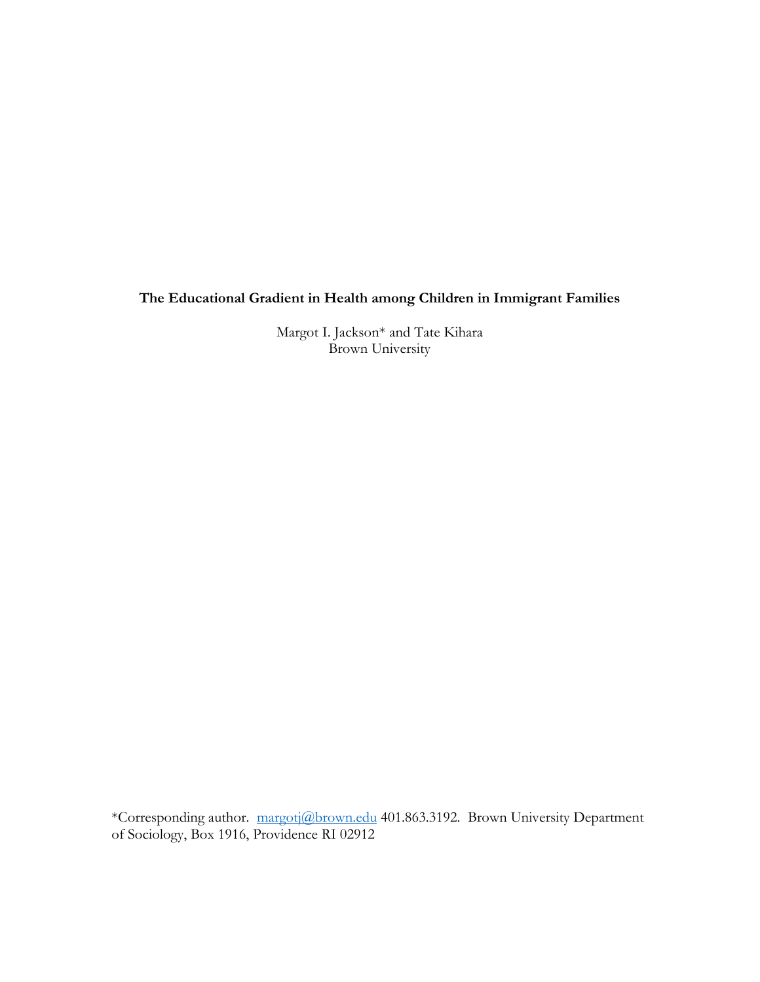# **The Educational Gradient in Health among Children in Immigrant Families**

Margot I. Jackson\* and Tate Kihara Brown University

\*Corresponding author. [margotj@brown.edu](mailto:margotj@brown.edu) 401.863.3192. Brown University Department of Sociology, Box 1916, Providence RI 02912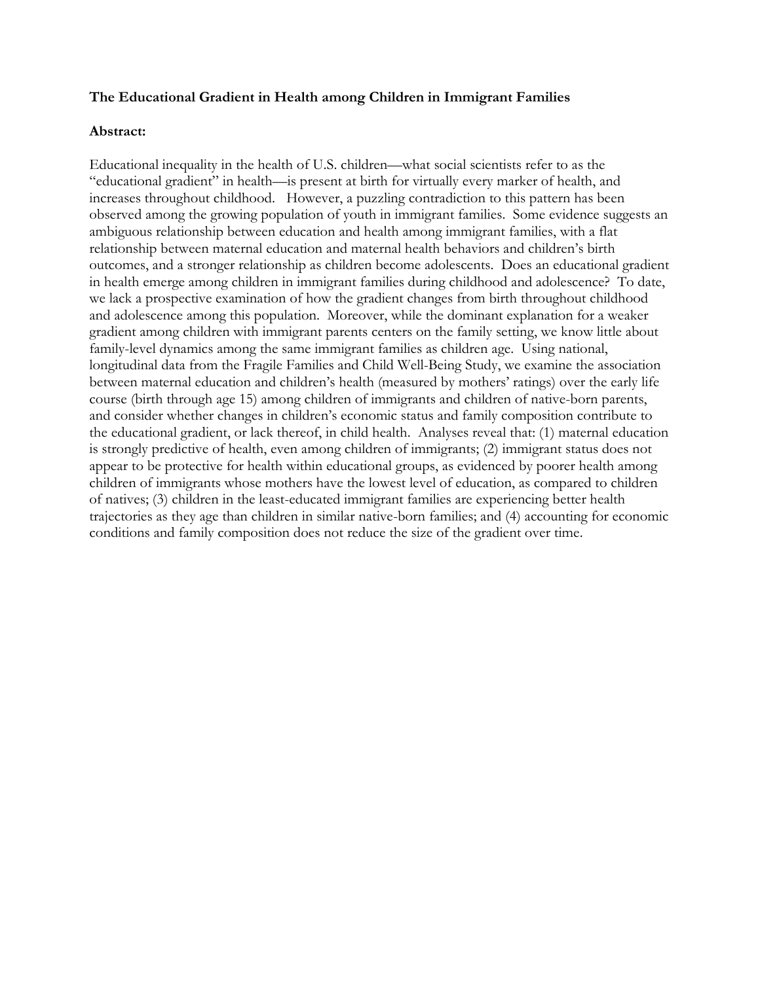# **The Educational Gradient in Health among Children in Immigrant Families**

# **Abstract:**

Educational inequality in the health of U.S. children—what social scientists refer to as the "educational gradient" in health—is present at birth for virtually every marker of health, and increases throughout childhood. However, a puzzling contradiction to this pattern has been observed among the growing population of youth in immigrant families. Some evidence suggests an ambiguous relationship between education and health among immigrant families, with a flat relationship between maternal education and maternal health behaviors and children's birth outcomes, and a stronger relationship as children become adolescents. Does an educational gradient in health emerge among children in immigrant families during childhood and adolescence? To date, we lack a prospective examination of how the gradient changes from birth throughout childhood and adolescence among this population. Moreover, while the dominant explanation for a weaker gradient among children with immigrant parents centers on the family setting, we know little about family-level dynamics among the same immigrant families as children age. Using national, longitudinal data from the Fragile Families and Child Well-Being Study, we examine the association between maternal education and children's health (measured by mothers' ratings) over the early life course (birth through age 15) among children of immigrants and children of native-born parents, and consider whether changes in children's economic status and family composition contribute to the educational gradient, or lack thereof, in child health. Analyses reveal that: (1) maternal education is strongly predictive of health, even among children of immigrants; (2) immigrant status does not appear to be protective for health within educational groups, as evidenced by poorer health among children of immigrants whose mothers have the lowest level of education, as compared to children of natives; (3) children in the least-educated immigrant families are experiencing better health trajectories as they age than children in similar native-born families; and (4) accounting for economic conditions and family composition does not reduce the size of the gradient over time.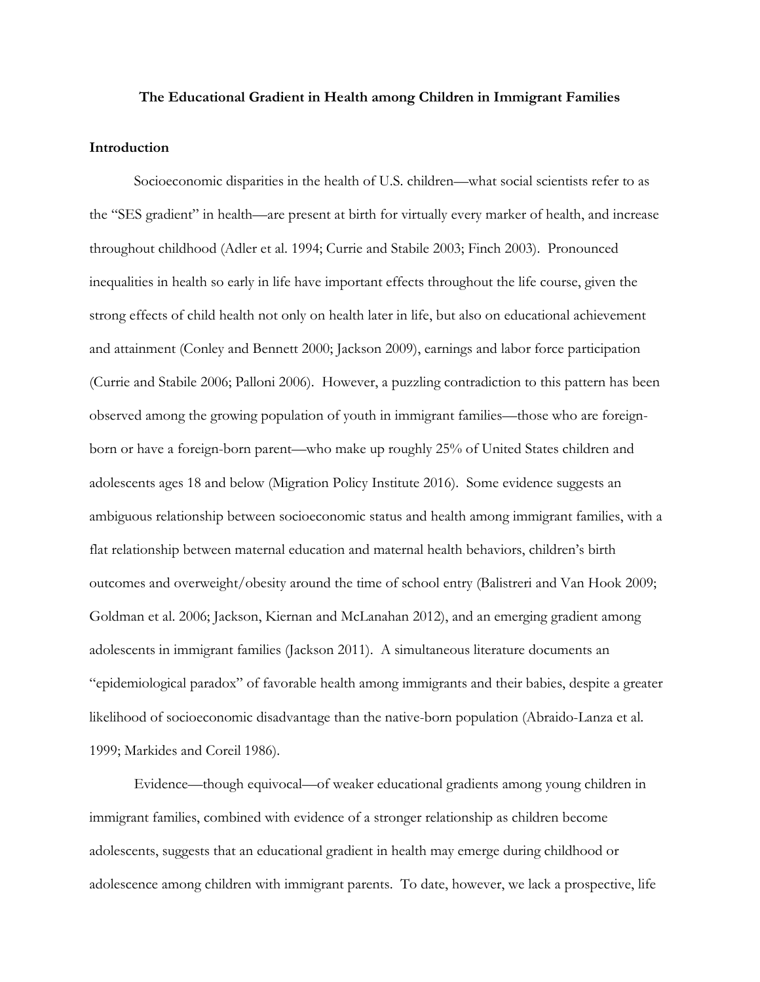#### **The Educational Gradient in Health among Children in Immigrant Families**

#### **Introduction**

Socioeconomic disparities in the health of U.S. children—what social scientists refer to as the "SES gradient" in health—are present at birth for virtually every marker of health, and increase throughout childhood (Adler et al. 1994; Currie and Stabile 2003; Finch 2003). Pronounced inequalities in health so early in life have important effects throughout the life course, given the strong effects of child health not only on health later in life, but also on educational achievement and attainment (Conley and Bennett 2000; Jackson 2009), earnings and labor force participation (Currie and Stabile 2006; Palloni 2006). However, a puzzling contradiction to this pattern has been observed among the growing population of youth in immigrant families—those who are foreignborn or have a foreign-born parent—who make up roughly 25% of United States children and adolescents ages 18 and below (Migration Policy Institute 2016). Some evidence suggests an ambiguous relationship between socioeconomic status and health among immigrant families, with a flat relationship between maternal education and maternal health behaviors, children's birth outcomes and overweight/obesity around the time of school entry (Balistreri and Van Hook 2009; Goldman et al. 2006; Jackson, Kiernan and McLanahan 2012), and an emerging gradient among adolescents in immigrant families (Jackson 2011). A simultaneous literature documents an "epidemiological paradox" of favorable health among immigrants and their babies, despite a greater likelihood of socioeconomic disadvantage than the native-born population (Abraido-Lanza et al. 1999; Markides and Coreil 1986).

Evidence—though equivocal—of weaker educational gradients among young children in immigrant families, combined with evidence of a stronger relationship as children become adolescents, suggests that an educational gradient in health may emerge during childhood or adolescence among children with immigrant parents. To date, however, we lack a prospective, life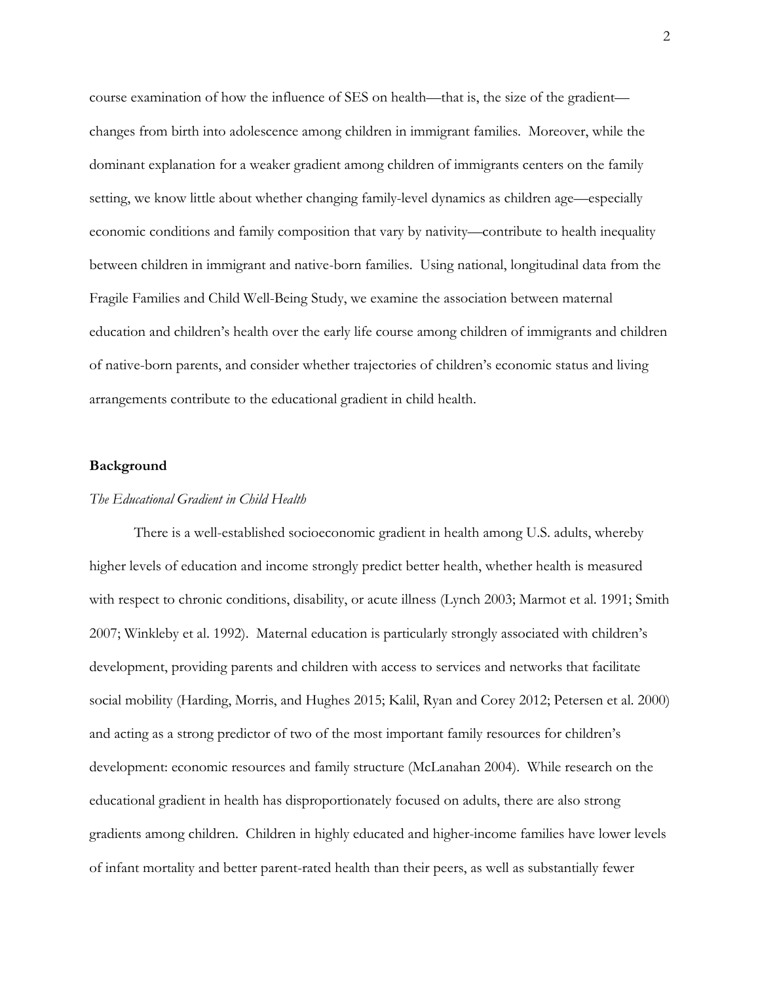course examination of how the influence of SES on health—that is, the size of the gradient changes from birth into adolescence among children in immigrant families. Moreover, while the dominant explanation for a weaker gradient among children of immigrants centers on the family setting, we know little about whether changing family-level dynamics as children age—especially economic conditions and family composition that vary by nativity—contribute to health inequality between children in immigrant and native-born families. Using national, longitudinal data from the Fragile Families and Child Well-Being Study, we examine the association between maternal education and children's health over the early life course among children of immigrants and children of native-born parents, and consider whether trajectories of children's economic status and living arrangements contribute to the educational gradient in child health.

#### **Background**

#### *The Educational Gradient in Child Health*

There is a well-established socioeconomic gradient in health among U.S. adults, whereby higher levels of education and income strongly predict better health, whether health is measured with respect to chronic conditions, disability, or acute illness (Lynch 2003; Marmot et al. 1991; Smith 2007; Winkleby et al. 1992). Maternal education is particularly strongly associated with children's development, providing parents and children with access to services and networks that facilitate social mobility (Harding, Morris, and Hughes 2015; Kalil, Ryan and Corey 2012; Petersen et al. 2000) and acting as a strong predictor of two of the most important family resources for children's development: economic resources and family structure (McLanahan 2004). While research on the educational gradient in health has disproportionately focused on adults, there are also strong gradients among children. Children in highly educated and higher-income families have lower levels of infant mortality and better parent-rated health than their peers, as well as substantially fewer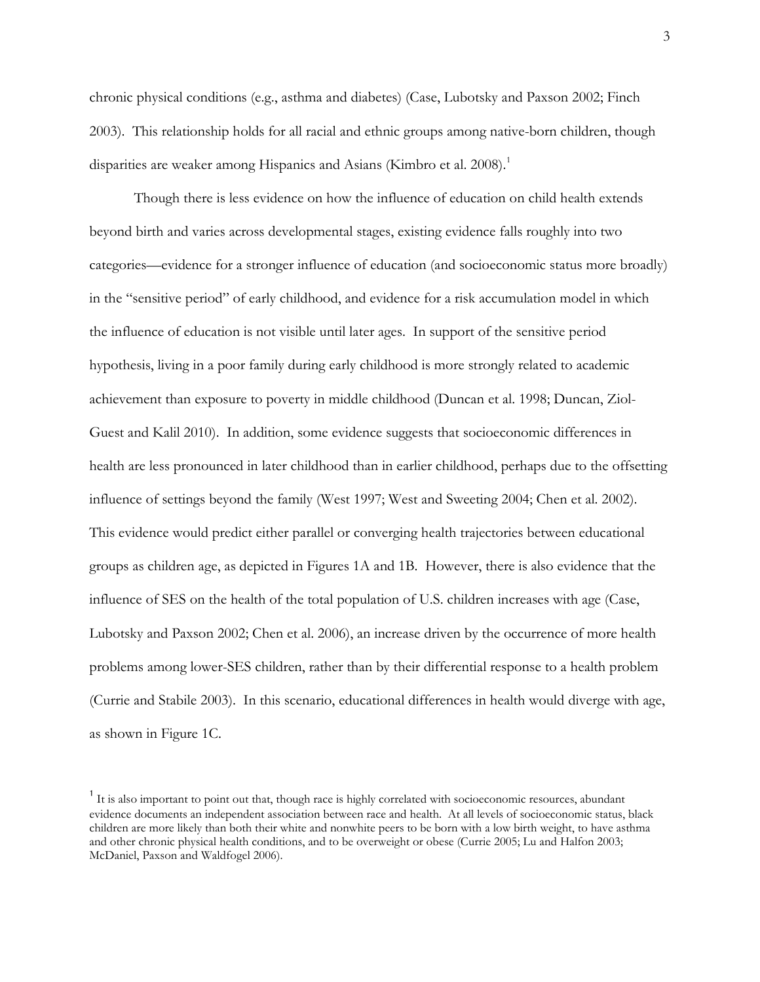chronic physical conditions (e.g., asthma and diabetes) (Case, Lubotsky and Paxson 2002; Finch 2003). This relationship holds for all racial and ethnic groups among native-born children, though disparities are weaker among Hispanics and Asians (Kimbro et al. 2008).<sup>[1](#page-5-0)</sup>

Though there is less evidence on how the influence of education on child health extends beyond birth and varies across developmental stages, existing evidence falls roughly into two categories—evidence for a stronger influence of education (and socioeconomic status more broadly) in the "sensitive period" of early childhood, and evidence for a risk accumulation model in which the influence of education is not visible until later ages. In support of the sensitive period hypothesis, living in a poor family during early childhood is more strongly related to academic achievement than exposure to poverty in middle childhood (Duncan et al. 1998; Duncan, Ziol-Guest and Kalil 2010). In addition, some evidence suggests that socioeconomic differences in health are less pronounced in later childhood than in earlier childhood, perhaps due to the offsetting influence of settings beyond the family (West 1997; West and Sweeting 2004; Chen et al. 2002). This evidence would predict either parallel or converging health trajectories between educational groups as children age, as depicted in Figures 1A and 1B. However, there is also evidence that the influence of SES on the health of the total population of U.S. children increases with age (Case, Lubotsky and Paxson 2002; Chen et al. 2006), an increase driven by the occurrence of more health problems among lower-SES children, rather than by their differential response to a health problem (Currie and Stabile 2003). In this scenario, educational differences in health would diverge with age, as shown in Figure 1C.

<span id="page-5-0"></span> $<sup>1</sup>$  It is also important to point out that, though race is highly correlated with socioeconomic resources, abundant</sup> evidence documents an independent association between race and health. At all levels of socioeconomic status, black children are more likely than both their white and nonwhite peers to be born with a low birth weight, to have asthma and other chronic physical health conditions, and to be overweight or obese (Currie 2005; Lu and Halfon 2003; McDaniel, Paxson and Waldfogel 2006).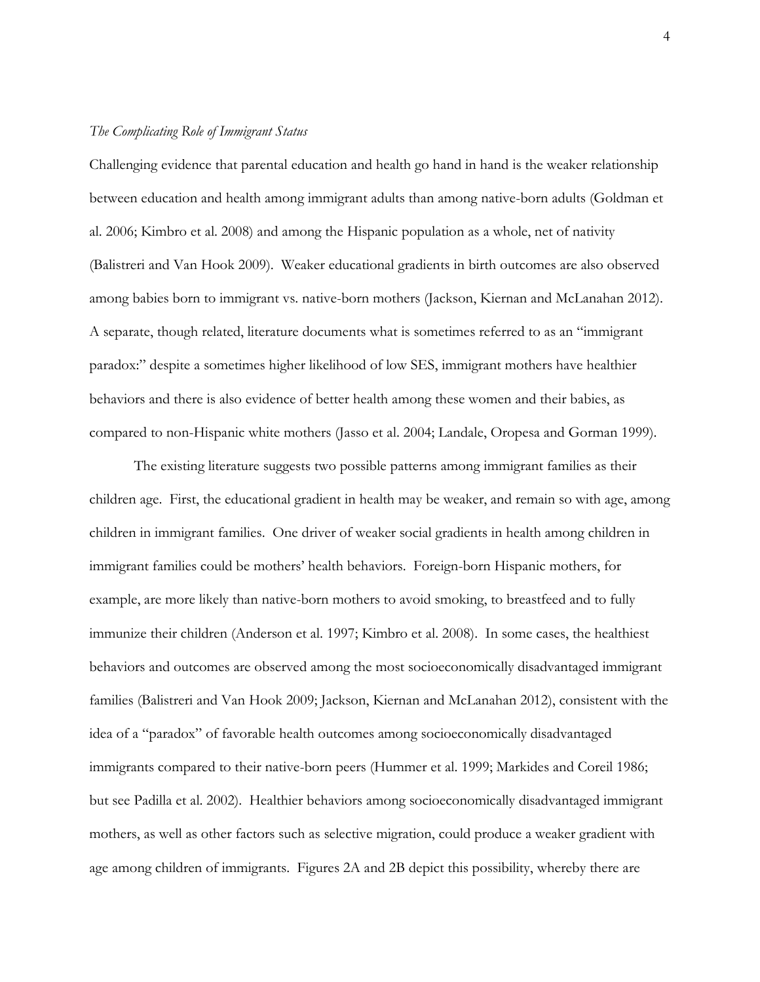#### *The Complicating Role of Immigrant Status*

Challenging evidence that parental education and health go hand in hand is the weaker relationship between education and health among immigrant adults than among native-born adults (Goldman et al. 2006; Kimbro et al. 2008) and among the Hispanic population as a whole, net of nativity (Balistreri and Van Hook 2009). Weaker educational gradients in birth outcomes are also observed among babies born to immigrant vs. native-born mothers (Jackson, Kiernan and McLanahan 2012). A separate, though related, literature documents what is sometimes referred to as an "immigrant paradox:" despite a sometimes higher likelihood of low SES, immigrant mothers have healthier behaviors and there is also evidence of better health among these women and their babies, as compared to non-Hispanic white mothers (Jasso et al. 2004; Landale, Oropesa and Gorman 1999).

The existing literature suggests two possible patterns among immigrant families as their children age. First, the educational gradient in health may be weaker, and remain so with age, among children in immigrant families. One driver of weaker social gradients in health among children in immigrant families could be mothers' health behaviors. Foreign-born Hispanic mothers, for example, are more likely than native-born mothers to avoid smoking, to breastfeed and to fully immunize their children (Anderson et al. 1997; Kimbro et al. 2008). In some cases, the healthiest behaviors and outcomes are observed among the most socioeconomically disadvantaged immigrant families (Balistreri and Van Hook 2009; Jackson, Kiernan and McLanahan 2012), consistent with the idea of a "paradox" of favorable health outcomes among socioeconomically disadvantaged immigrants compared to their native-born peers (Hummer et al. 1999; Markides and Coreil 1986; but see Padilla et al. 2002). Healthier behaviors among socioeconomically disadvantaged immigrant mothers, as well as other factors such as selective migration, could produce a weaker gradient with age among children of immigrants. Figures 2A and 2B depict this possibility, whereby there are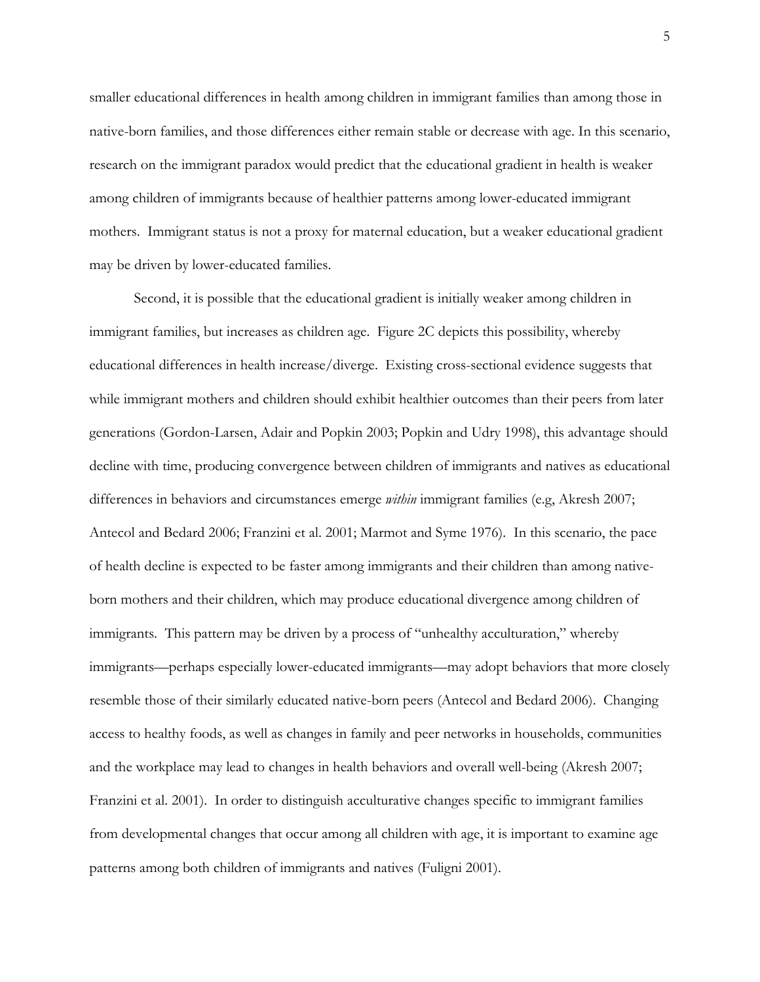smaller educational differences in health among children in immigrant families than among those in native-born families, and those differences either remain stable or decrease with age. In this scenario, research on the immigrant paradox would predict that the educational gradient in health is weaker among children of immigrants because of healthier patterns among lower-educated immigrant mothers. Immigrant status is not a proxy for maternal education, but a weaker educational gradient may be driven by lower-educated families.

Second, it is possible that the educational gradient is initially weaker among children in immigrant families, but increases as children age. Figure 2C depicts this possibility, whereby educational differences in health increase/diverge. Existing cross-sectional evidence suggests that while immigrant mothers and children should exhibit healthier outcomes than their peers from later generations (Gordon-Larsen, Adair and Popkin 2003; Popkin and Udry 1998), this advantage should decline with time, producing convergence between children of immigrants and natives as educational differences in behaviors and circumstances emerge *within* immigrant families (e.g, Akresh 2007; Antecol and Bedard 2006; Franzini et al. 2001; Marmot and Syme 1976). In this scenario, the pace of health decline is expected to be faster among immigrants and their children than among nativeborn mothers and their children, which may produce educational divergence among children of immigrants. This pattern may be driven by a process of "unhealthy acculturation," whereby immigrants—perhaps especially lower-educated immigrants—may adopt behaviors that more closely resemble those of their similarly educated native-born peers (Antecol and Bedard 2006). Changing access to healthy foods, as well as changes in family and peer networks in households, communities and the workplace may lead to changes in health behaviors and overall well-being (Akresh 2007; Franzini et al. 2001). In order to distinguish acculturative changes specific to immigrant families from developmental changes that occur among all children with age, it is important to examine age patterns among both children of immigrants and natives (Fuligni 2001).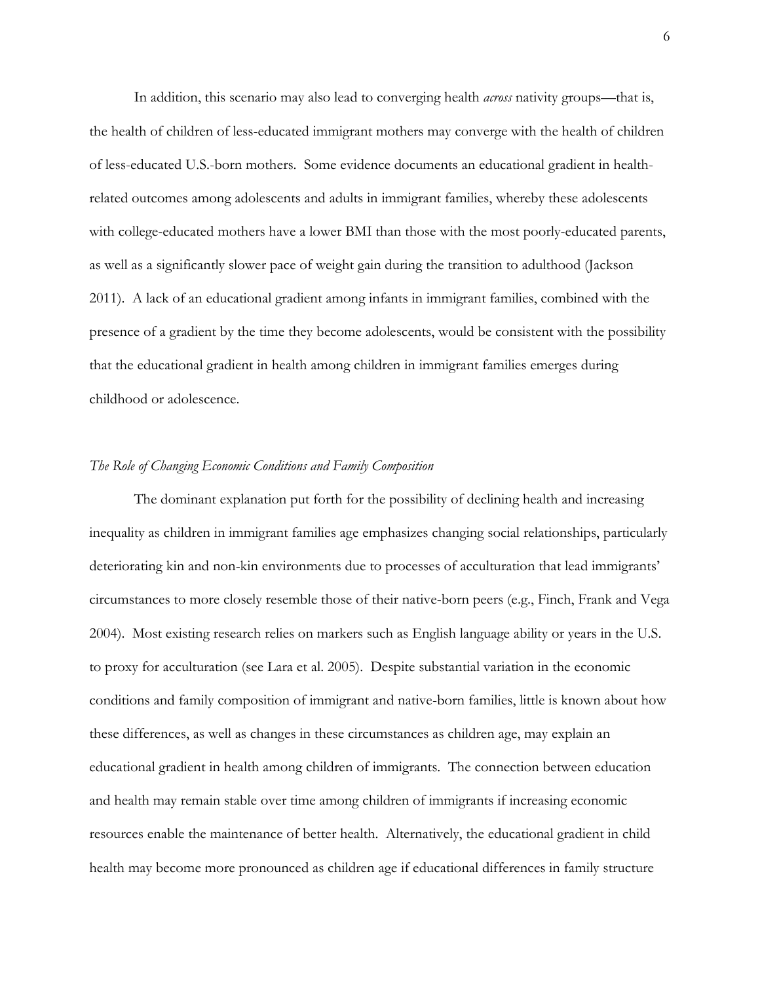In addition, this scenario may also lead to converging health *across* nativity groups—that is, the health of children of less-educated immigrant mothers may converge with the health of children of less-educated U.S.-born mothers. Some evidence documents an educational gradient in healthrelated outcomes among adolescents and adults in immigrant families, whereby these adolescents with college-educated mothers have a lower BMI than those with the most poorly-educated parents, as well as a significantly slower pace of weight gain during the transition to adulthood (Jackson 2011). A lack of an educational gradient among infants in immigrant families, combined with the presence of a gradient by the time they become adolescents, would be consistent with the possibility that the educational gradient in health among children in immigrant families emerges during childhood or adolescence.

#### *The Role of Changing Economic Conditions and Family Composition*

The dominant explanation put forth for the possibility of declining health and increasing inequality as children in immigrant families age emphasizes changing social relationships, particularly deteriorating kin and non-kin environments due to processes of acculturation that lead immigrants' circumstances to more closely resemble those of their native-born peers (e.g., Finch, Frank and Vega 2004). Most existing research relies on markers such as English language ability or years in the U.S. to proxy for acculturation (see Lara et al. 2005). Despite substantial variation in the economic conditions and family composition of immigrant and native-born families, little is known about how these differences, as well as changes in these circumstances as children age, may explain an educational gradient in health among children of immigrants. The connection between education and health may remain stable over time among children of immigrants if increasing economic resources enable the maintenance of better health. Alternatively, the educational gradient in child health may become more pronounced as children age if educational differences in family structure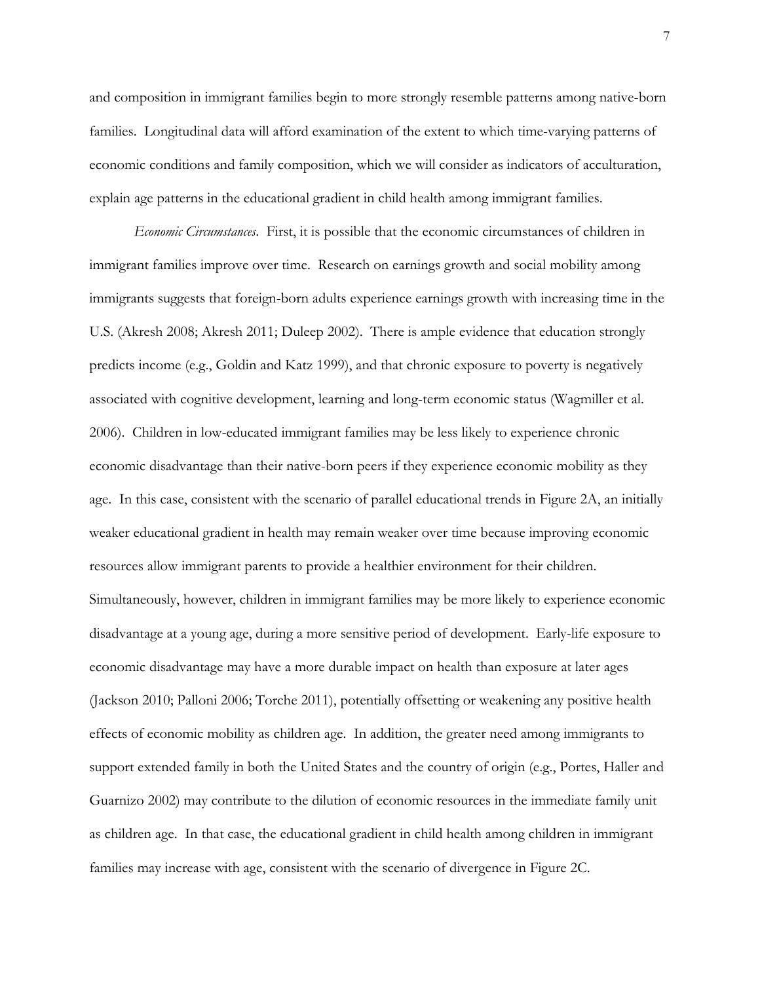and composition in immigrant families begin to more strongly resemble patterns among native-born families. Longitudinal data will afford examination of the extent to which time-varying patterns of economic conditions and family composition, which we will consider as indicators of acculturation, explain age patterns in the educational gradient in child health among immigrant families.

*Economic Circumstances*. First, it is possible that the economic circumstances of children in immigrant families improve over time. Research on earnings growth and social mobility among immigrants suggests that foreign-born adults experience earnings growth with increasing time in the U.S. (Akresh 2008; Akresh 2011; Duleep 2002). There is ample evidence that education strongly predicts income (e.g., Goldin and Katz 1999), and that chronic exposure to poverty is negatively associated with cognitive development, learning and long-term economic status [\(Wagmiller et al.](https://www.ncbi.nlm.nih.gov/pmc/articles/PMC5857959/#R65)  [2006\)](https://www.ncbi.nlm.nih.gov/pmc/articles/PMC5857959/#R65). Children in low-educated immigrant families may be less likely to experience chronic economic disadvantage than their native-born peers if they experience economic mobility as they age. In this case, consistent with the scenario of parallel educational trends in Figure 2A, an initially weaker educational gradient in health may remain weaker over time because improving economic resources allow immigrant parents to provide a healthier environment for their children. Simultaneously, however, children in immigrant families may be more likely to experience economic disadvantage at a young age, during a more sensitive period of development. Early-life exposure to economic disadvantage may have a more durable impact on health than exposure at later ages [\(Jackson 2010;](https://www.ncbi.nlm.nih.gov/pmc/articles/PMC5857959/#R30) [Palloni 2006;](https://www.ncbi.nlm.nih.gov/pmc/articles/PMC5857959/#R59) Torche 2011), potentially offsetting or weakening any positive health effects of economic mobility as children age. In addition, the greater need among immigrants to support extended family in both the United States and the country of origin (e.g., Portes, Haller and Guarnizo 2002) may contribute to the dilution of economic resources in the immediate family unit as children age. In that case, the educational gradient in child health among children in immigrant families may increase with age, consistent with the scenario of divergence in Figure 2C.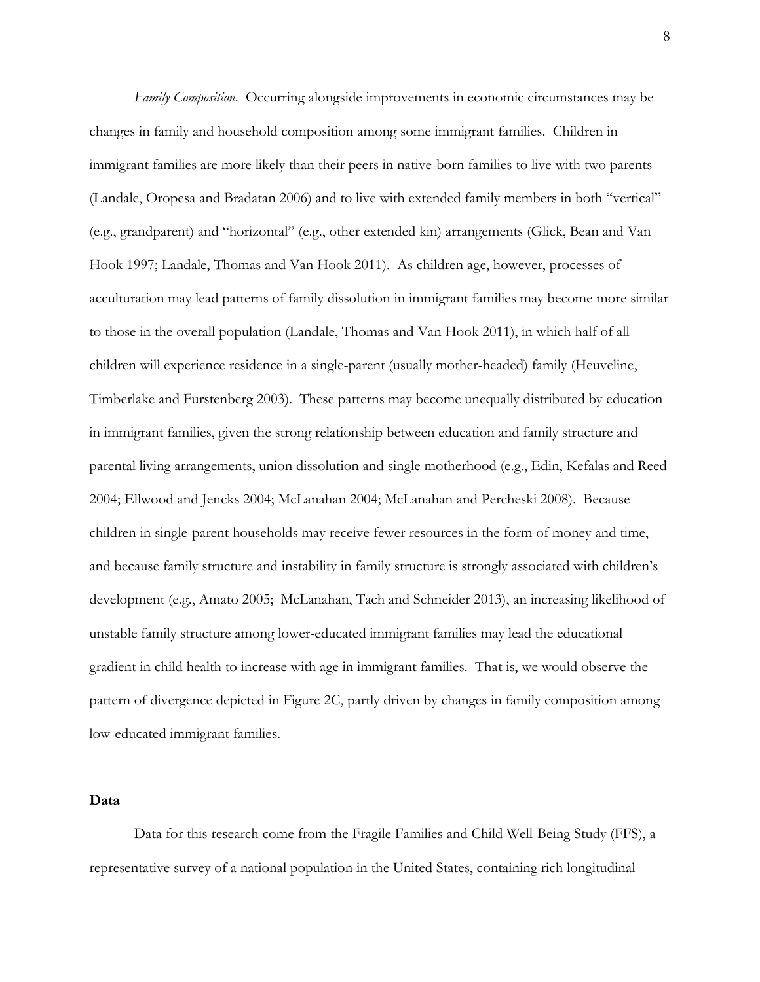*Family Composition*. Occurring alongside improvements in economic circumstances may be changes in family and household composition among some immigrant families. Children in immigrant families are more likely than their peers in native-born families to live with two parents (Landale, Oropesa and Bradatan 2006) and to live with extended family members in both "vertical" (e.g., grandparent) and "horizontal" (e.g., other extended kin) arrangements (Glick, Bean and Van Hook 1997; Landale, Thomas and Van Hook 2011). As children age, however, processes of acculturation may lead patterns of family dissolution in immigrant families may become more similar to those in the overall population (Landale, Thomas and Van Hook 2011), in which half of all children will experience residence in a single-parent (usually mother-headed) family (Heuveline, Timberlake and Furstenberg 2003). These patterns may become unequally distributed by education in immigrant families, given the strong relationship between education and family structure and parental living arrangements, union dissolution and single motherhood (e.g., [Edin, Kefalas and Reed](https://www.ncbi.nlm.nih.gov/pmc/articles/PMC5857959/#R20)  [2004;](https://www.ncbi.nlm.nih.gov/pmc/articles/PMC5857959/#R20) [Ellwood and Jencks 2004;](https://www.ncbi.nlm.nih.gov/pmc/articles/PMC5857959/#R21) McLanahan 2004; [McLanahan and Percheski 2008\)](https://www.ncbi.nlm.nih.gov/pmc/articles/PMC5857959/#R49). Because children in single-parent households may receive fewer resources in the form of money and time, and because family structure and instability in family structure is strongly associated with children's development (e.g., [Amato 2005;](https://www.ncbi.nlm.nih.gov/pmc/articles/PMC5857959/#R5) [McLanahan, Tach and Schneider 2013\)](https://www.ncbi.nlm.nih.gov/pmc/articles/PMC5857959/#R50), an increasing likelihood of unstable family structure among lower-educated immigrant families may lead the educational gradient in child health to increase with age in immigrant families. That is, we would observe the pattern of divergence depicted in Figure 2C, partly driven by changes in family composition among low-educated immigrant families.

### **Data**

Data for this research come from the Fragile Families and Child Well-Being Study (FFS), a representative survey of a national population in the United States, containing rich longitudinal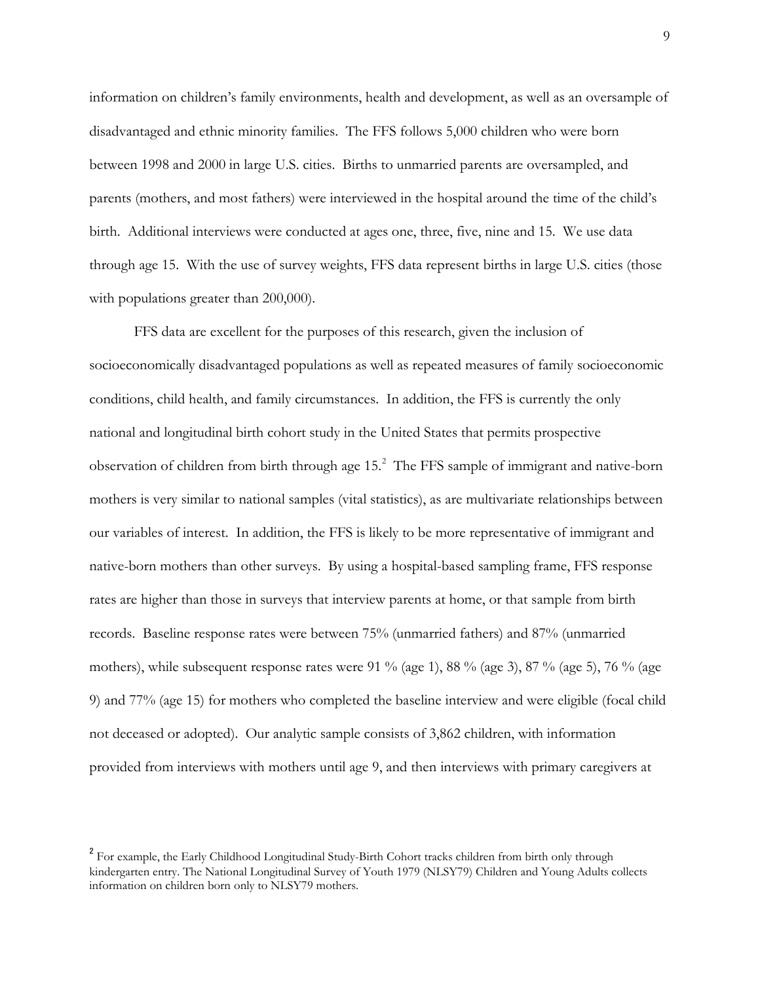information on children's family environments, health and development, as well as an oversample of disadvantaged and ethnic minority families. The FFS follows 5,000 children who were born between 1998 and 2000 in large U.S. cities. Births to unmarried parents are oversampled, and parents (mothers, and most fathers) were interviewed in the hospital around the time of the child's birth. Additional interviews were conducted at ages one, three, five, nine and 15. We use data through age 15. With the use of survey weights, FFS data represent births in large U.S. cities (those with populations greater than 200,000).

FFS data are excellent for the purposes of this research, given the inclusion of socioeconomically disadvantaged populations as well as repeated measures of family socioeconomic conditions, child health, and family circumstances. In addition, the FFS is currently the only national and longitudinal birth cohort study in the United States that permits prospective observation of children from birth through age 15.<sup>[2](#page-11-0)</sup> The FFS sample of immigrant and native-born mothers is very similar to national samples (vital statistics), as are multivariate relationships between our variables of interest. In addition, the FFS is likely to be more representative of immigrant and native-born mothers than other surveys. By using a hospital-based sampling frame, FFS response rates are higher than those in surveys that interview parents at home, or that sample from birth records. Baseline response rates were between 75% (unmarried fathers) and 87% (unmarried mothers), while subsequent response rates were 91 % (age 1), 88 % (age 3), 87 % (age 5), 76 % (age 9) and 77% (age 15) for mothers who completed the baseline interview and were eligible (focal child not deceased or adopted). Our analytic sample consists of 3,862 children, with information provided from interviews with mothers until age 9, and then interviews with primary caregivers at

<span id="page-11-0"></span><sup>&</sup>lt;sup>2</sup> For example, the Early Childhood Longitudinal Study-Birth Cohort tracks children from birth only through kindergarten entry. The National Longitudinal Survey of Youth 1979 (NLSY79) Children and Young Adults collects information on children born only to NLSY79 mothers.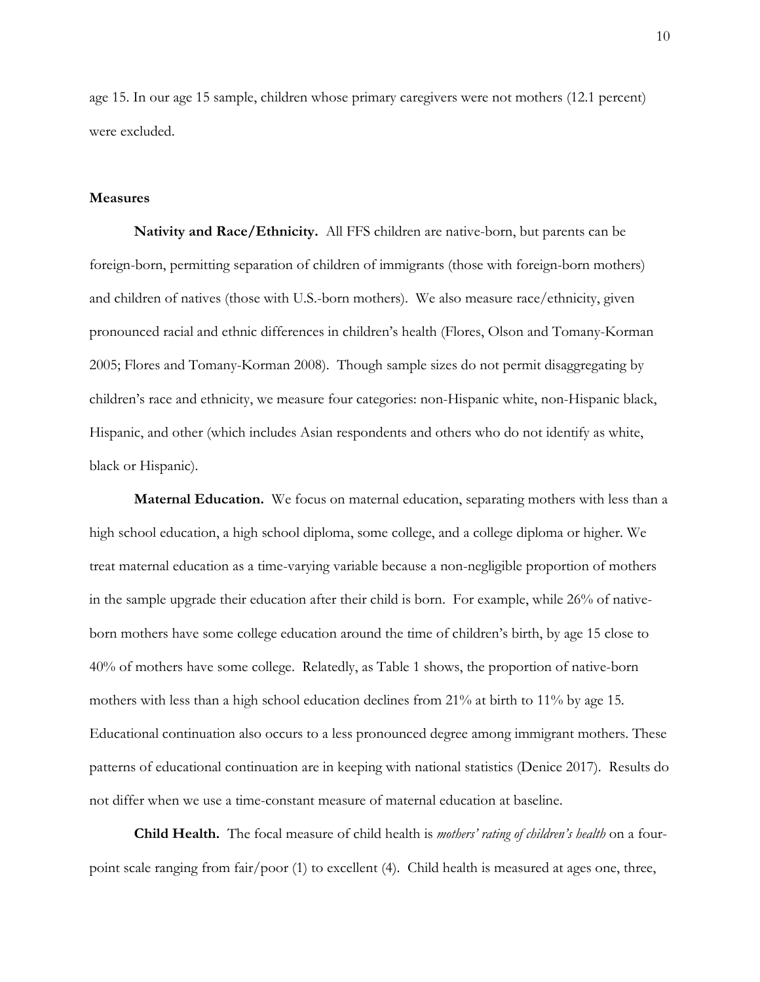age 15. In our age 15 sample, children whose primary caregivers were not mothers (12.1 percent) were excluded.

#### **Measures**

**Nativity and Race/Ethnicity.** All FFS children are native-born, but parents can be foreign-born, permitting separation of children of immigrants (those with foreign-born mothers) and children of natives (those with U.S.-born mothers). We also measure race/ethnicity, given pronounced racial and ethnic differences in children's health (Flores, Olson and Tomany-Korman 2005; Flores and Tomany-Korman 2008). Though sample sizes do not permit disaggregating by children's race and ethnicity, we measure four categories: non-Hispanic white, non-Hispanic black, Hispanic, and other (which includes Asian respondents and others who do not identify as white, black or Hispanic).

**Maternal Education.** We focus on maternal education, separating mothers with less than a high school education, a high school diploma, some college, and a college diploma or higher. We treat maternal education as a time-varying variable because a non-negligible proportion of mothers in the sample upgrade their education after their child is born. For example, while 26% of nativeborn mothers have some college education around the time of children's birth, by age 15 close to 40% of mothers have some college. Relatedly, as Table 1 shows, the proportion of native-born mothers with less than a high school education declines from 21% at birth to 11% by age 15. Educational continuation also occurs to a less pronounced degree among immigrant mothers. These patterns of educational continuation are in keeping with national statistics (Denice 2017). Results do not differ when we use a time-constant measure of maternal education at baseline.

**Child Health.** The focal measure of child health is *mothers' rating of children's health* on a fourpoint scale ranging from fair/poor (1) to excellent (4). Child health is measured at ages one, three,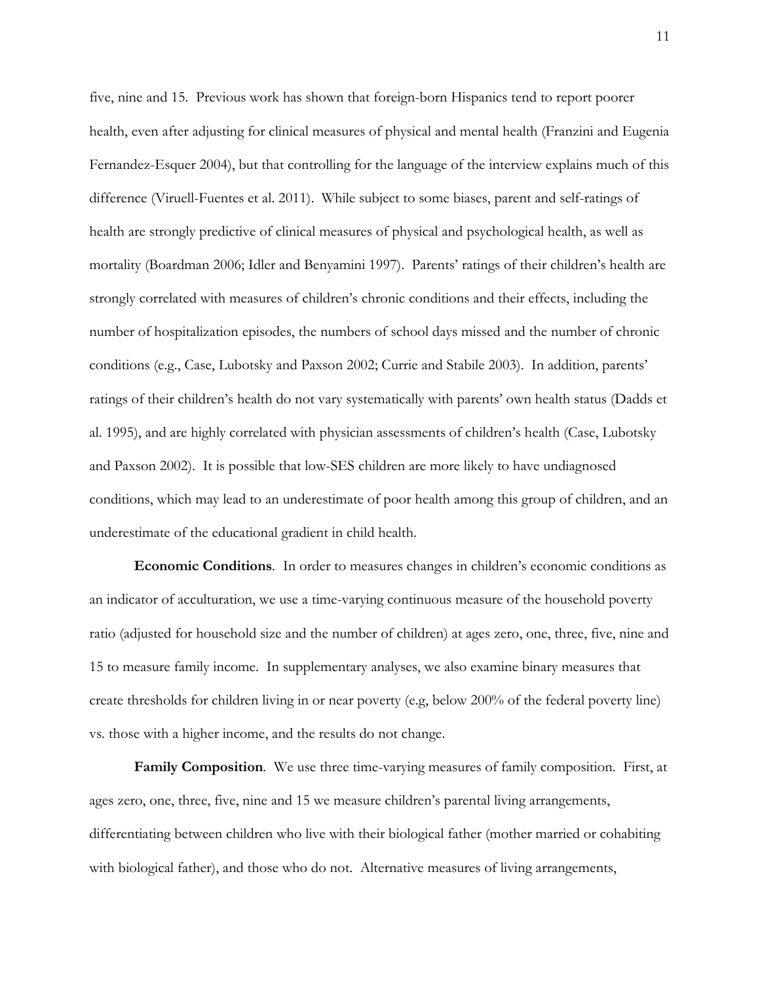five, nine and 15. Previous work has shown that foreign-born Hispanics tend to report poorer health, even after adjusting for clinical measures of physical and mental health (Franzini and Eugenia Fernandez-Esquer 2004), but that controlling for the language of the interview explains much of this difference (Viruell-Fuentes et al. 2011). While subject to some biases, parent and self-ratings of health are strongly predictive of clinical measures of physical and psychological health, as well as mortality (Boardman 2006; Idler and Benyamini 1997). Parents' ratings of their children's health are strongly correlated with measures of children's chronic conditions and their effects, including the number of hospitalization episodes, the numbers of school days missed and the number of chronic conditions (e.g., Case, Lubotsky and Paxson 2002; Currie and Stabile 2003). In addition, parents' ratings of their children's health do not vary systematically with parents' own health status (Dadds et al. 1995), and are highly correlated with physician assessments of children's health (Case, Lubotsky and Paxson 2002). It is possible that low-SES children are more likely to have undiagnosed conditions, which may lead to an underestimate of poor health among this group of children, and an underestimate of the educational gradient in child health.

**Economic Conditions***.* In order to measures changes in children's economic conditions as an indicator of acculturation, we use a time-varying continuous measure of the household poverty ratio (adjusted for household size and the number of children) at ages zero, one, three, five, nine and 15 to measure family income. In supplementary analyses, we also examine binary measures that create thresholds for children living in or near poverty (e.g, below 200% of the federal poverty line) vs. those with a higher income, and the results do not change.

**Family Composition***.* We use three time-varying measures of family composition. First, at ages zero, one, three, five, nine and 15 we measure children's parental living arrangements, differentiating between children who live with their biological father (mother married or cohabiting with biological father), and those who do not. Alternative measures of living arrangements,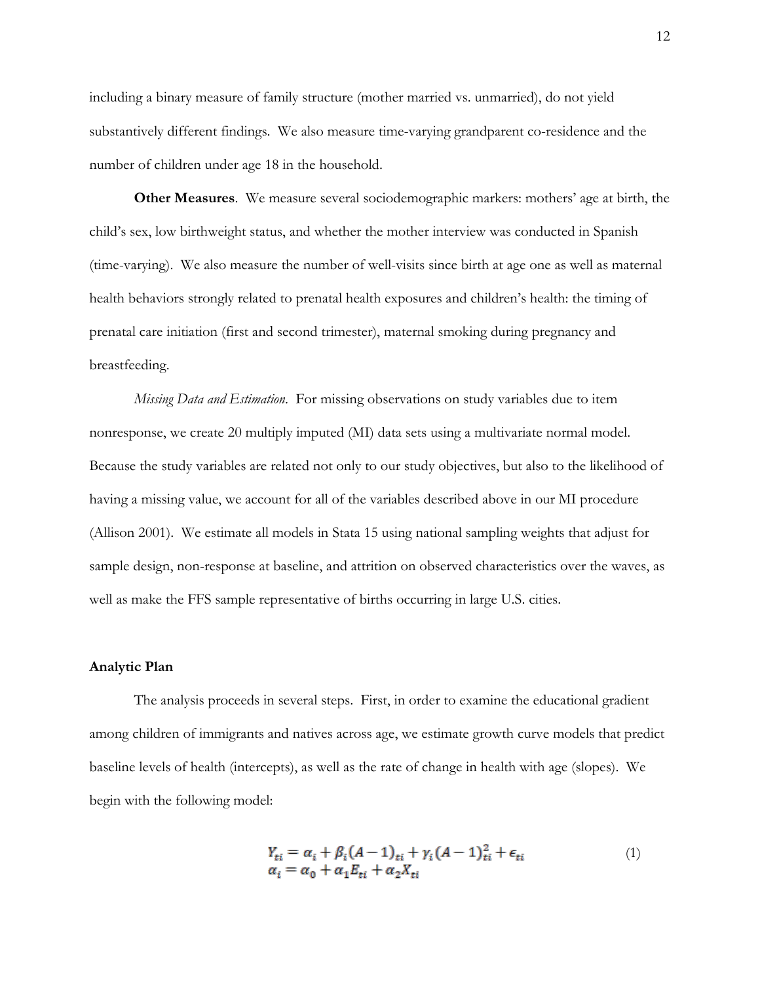including a binary measure of family structure (mother married vs. unmarried), do not yield substantively different findings. We also measure time-varying grandparent co-residence and the number of children under age 18 in the household.

**Other Measures**. We measure several sociodemographic markers: mothers' age at birth, the child's sex, low birthweight status, and whether the mother interview was conducted in Spanish (time-varying). We also measure the number of well-visits since birth at age one as well as maternal health behaviors strongly related to prenatal health exposures and children's health: the timing of prenatal care initiation (first and second trimester), maternal smoking during pregnancy and breastfeeding.

*Missing Data and Estimation*. For missing observations on study variables due to item nonresponse, we create 20 multiply imputed (MI) data sets using a multivariate normal model. Because the study variables are related not only to our study objectives, but also to the likelihood of having a missing value, we account for all of the variables described above in our MI procedure (Allison 2001). We estimate all models in Stata 15 using national sampling weights that adjust for sample design, non-response at baseline, and attrition on observed characteristics over the waves, as well as make the FFS sample representative of births occurring in large U.S. cities.

#### **Analytic Plan**

The analysis proceeds in several steps. First, in order to examine the educational gradient among children of immigrants and natives across age, we estimate growth curve models that predict baseline levels of health (intercepts), as well as the rate of change in health with age (slopes). We begin with the following model:

$$
Y_{ti} = \alpha_i + \beta_i (A - 1)_{ti} + \gamma_i (A - 1)_{ti}^2 + \epsilon_{ti}
$$
  
\n
$$
\alpha_i = \alpha_0 + \alpha_1 E_{ti} + \alpha_2 X_{ti}
$$
\n(1)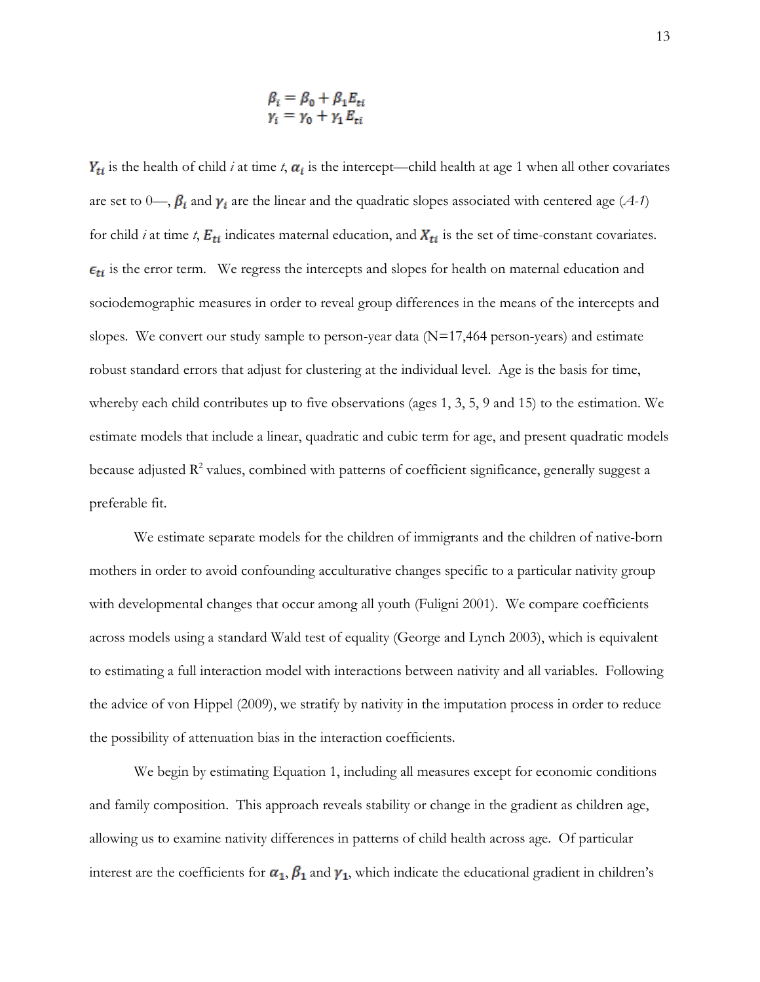$$
\beta_i = \beta_0 + \beta_1 E_{ti}
$$
  

$$
\gamma_i = \gamma_0 + \gamma_1 E_{ti}
$$

 $Y_{ti}$  is the health of child *i* at time *t*,  $\alpha_i$  is the intercept—child health at age 1 when all other covariates are set to 0—,  $\beta_i$  and  $\gamma_i$  are the linear and the quadratic slopes associated with centered age (*A-1*) for child *i* at time *t*,  $E_{ti}$  indicates maternal education, and  $X_{ti}$  is the set of time-constant covariates.  $\epsilon_{ti}$  is the error term. We regress the intercepts and slopes for health on maternal education and sociodemographic measures in order to reveal group differences in the means of the intercepts and slopes. We convert our study sample to person-year data  $(N=17,464$  person-years) and estimate robust standard errors that adjust for clustering at the individual level. Age is the basis for time, whereby each child contributes up to five observations (ages 1, 3, 5, 9 and 15) to the estimation. We estimate models that include a linear, quadratic and cubic term for age, and present quadratic models because adjusted  $R^2$  values, combined with patterns of coefficient significance, generally suggest a preferable fit.

We estimate separate models for the children of immigrants and the children of native-born mothers in order to avoid confounding acculturative changes specific to a particular nativity group with developmental changes that occur among all youth (Fuligni 2001). We compare coefficients across models using a standard Wald test of equality (George and Lynch 2003), which is equivalent to estimating a full interaction model with interactions between nativity and all variables. Following the advice of von Hippel (2009), we stratify by nativity in the imputation process in order to reduce the possibility of attenuation bias in the interaction coefficients.

We begin by estimating Equation 1, including all measures except for economic conditions and family composition. This approach reveals stability or change in the gradient as children age, allowing us to examine nativity differences in patterns of child health across age. Of particular interest are the coefficients for  $\alpha_1$ ,  $\beta_1$  and  $\gamma_1$ , which indicate the educational gradient in children's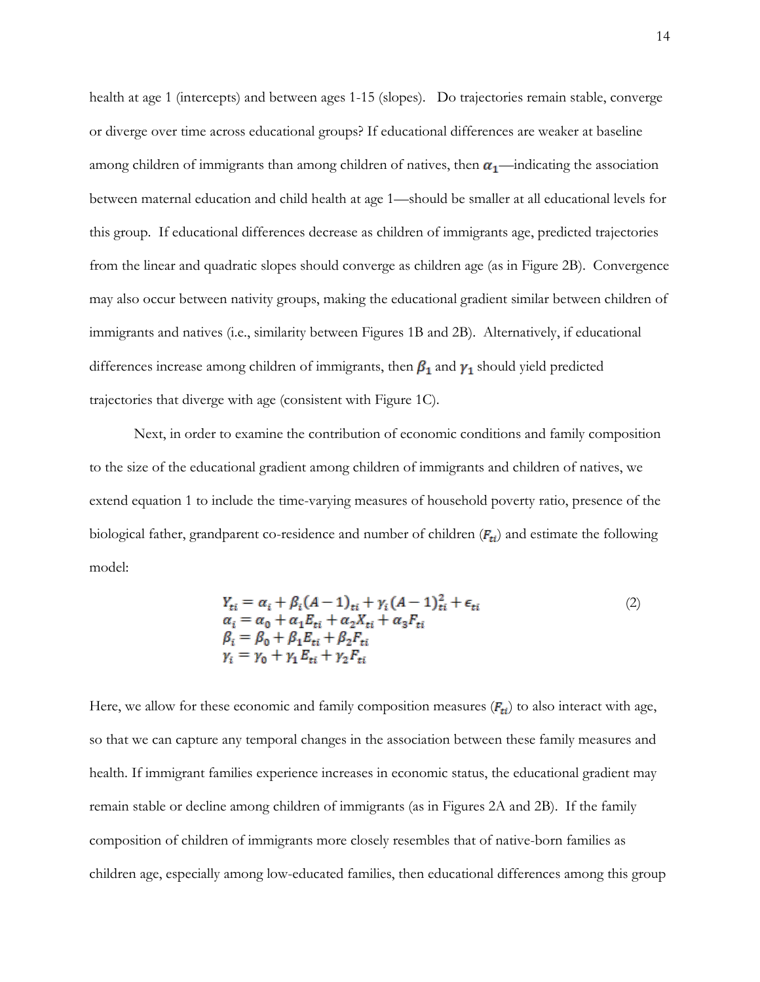health at age 1 (intercepts) and between ages 1-15 (slopes). Do trajectories remain stable, converge or diverge over time across educational groups? If educational differences are weaker at baseline among children of immigrants than among children of natives, then  $\alpha_1$ —indicating the association between maternal education and child health at age 1—should be smaller at all educational levels for this group. If educational differences decrease as children of immigrants age, predicted trajectories from the linear and quadratic slopes should converge as children age (as in Figure 2B). Convergence may also occur between nativity groups, making the educational gradient similar between children of immigrants and natives (i.e., similarity between Figures 1B and 2B). Alternatively, if educational differences increase among children of immigrants, then  $\beta_1$  and  $\gamma_1$  should yield predicted trajectories that diverge with age (consistent with Figure 1C).

Next, in order to examine the contribution of economic conditions and family composition to the size of the educational gradient among children of immigrants and children of natives, we extend equation 1 to include the time-varying measures of household poverty ratio, presence of the biological father, grandparent co-residence and number of children  $(F_{ti})$  and estimate the following model:

$$
Y_{ti} = \alpha_i + \beta_i (A - 1)_{ti} + \gamma_i (A - 1)_{ti}^2 + \epsilon_{ti}
$$
  
\n
$$
\alpha_i = \alpha_0 + \alpha_1 E_{ti} + \alpha_2 X_{ti} + \alpha_3 F_{ti}
$$
  
\n
$$
\beta_i = \beta_0 + \beta_1 E_{ti} + \beta_2 F_{ti}
$$
  
\n
$$
\gamma_i = \gamma_0 + \gamma_1 E_{ti} + \gamma_2 F_{ti}
$$
\n(2)

Here, we allow for these economic and family composition measures  $(F_{ti})$  to also interact with age, so that we can capture any temporal changes in the association between these family measures and health. If immigrant families experience increases in economic status, the educational gradient may remain stable or decline among children of immigrants (as in Figures 2A and 2B). If the family composition of children of immigrants more closely resembles that of native-born families as children age, especially among low-educated families, then educational differences among this group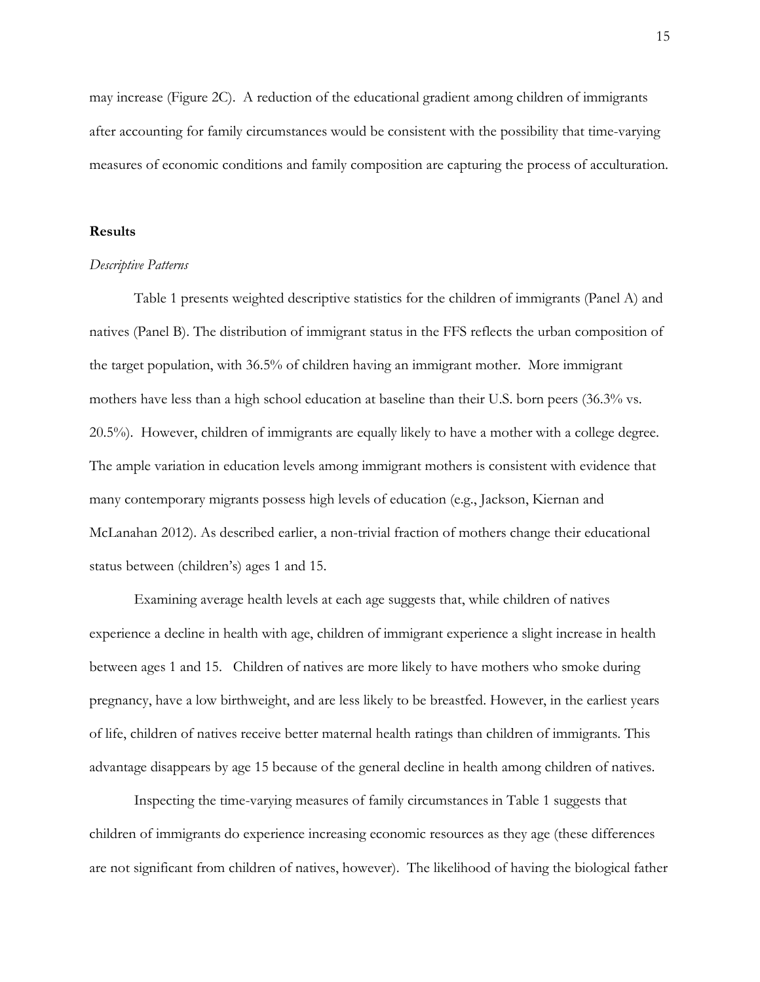may increase (Figure 2C). A reduction of the educational gradient among children of immigrants after accounting for family circumstances would be consistent with the possibility that time-varying measures of economic conditions and family composition are capturing the process of acculturation.

#### **Results**

#### *Descriptive Patterns*

Table 1 presents weighted descriptive statistics for the children of immigrants (Panel A) and natives (Panel B). The distribution of immigrant status in the FFS reflects the urban composition of the target population, with 36.5% of children having an immigrant mother. More immigrant mothers have less than a high school education at baseline than their U.S. born peers (36.3% vs. 20.5%). However, children of immigrants are equally likely to have a mother with a college degree. The ample variation in education levels among immigrant mothers is consistent with evidence that many contemporary migrants possess high levels of education (e.g., Jackson, Kiernan and McLanahan 2012). As described earlier, a non-trivial fraction of mothers change their educational status between (children's) ages 1 and 15.

Examining average health levels at each age suggests that, while children of natives experience a decline in health with age, children of immigrant experience a slight increase in health between ages 1 and 15. Children of natives are more likely to have mothers who smoke during pregnancy, have a low birthweight, and are less likely to be breastfed. However, in the earliest years of life, children of natives receive better maternal health ratings than children of immigrants. This advantage disappears by age 15 because of the general decline in health among children of natives.

Inspecting the time-varying measures of family circumstances in Table 1 suggests that children of immigrants do experience increasing economic resources as they age (these differences are not significant from children of natives, however). The likelihood of having the biological father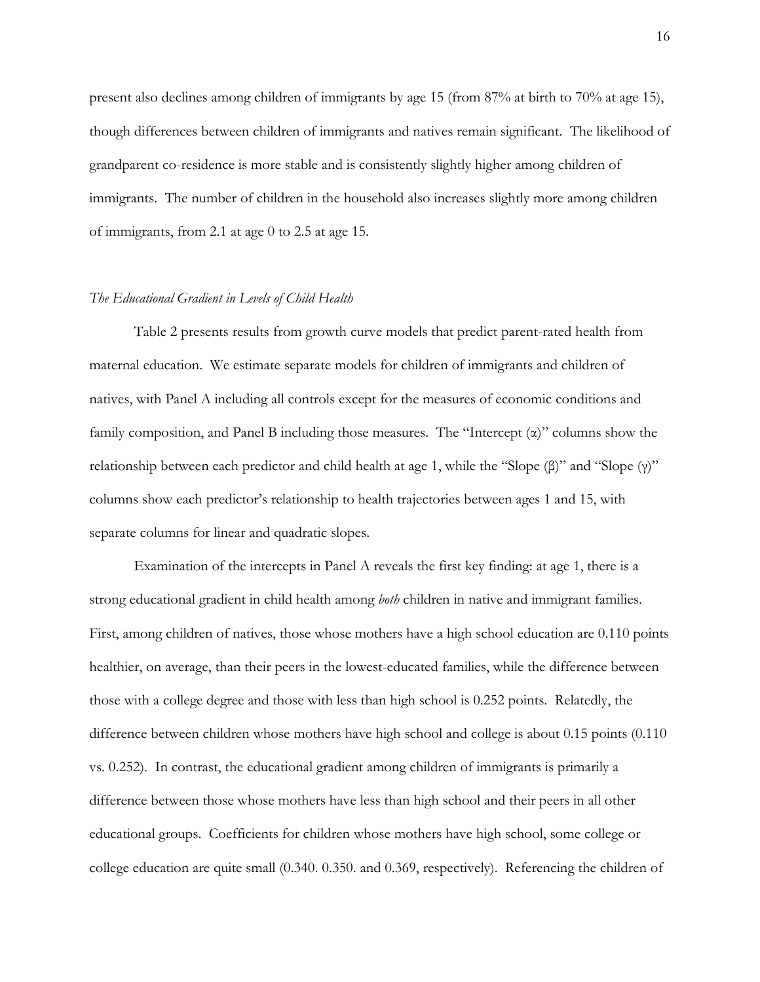present also declines among children of immigrants by age 15 (from 87% at birth to 70% at age 15), though differences between children of immigrants and natives remain significant. The likelihood of grandparent co-residence is more stable and is consistently slightly higher among children of immigrants. The number of children in the household also increases slightly more among children of immigrants, from 2.1 at age 0 to 2.5 at age 15.

#### *The Educational Gradient in Levels of Child Health*

Table 2 presents results from growth curve models that predict parent-rated health from maternal education. We estimate separate models for children of immigrants and children of natives, with Panel A including all controls except for the measures of economic conditions and family composition, and Panel B including those measures. The "Intercept  $(\alpha)$ " columns show the relationship between each predictor and child health at age 1, while the "Slope (β)" and "Slope (γ)" columns show each predictor's relationship to health trajectories between ages 1 and 15, with separate columns for linear and quadratic slopes.

Examination of the intercepts in Panel A reveals the first key finding: at age 1, there is a strong educational gradient in child health among *both* children in native and immigrant families. First, among children of natives, those whose mothers have a high school education are 0.110 points healthier, on average, than their peers in the lowest-educated families, while the difference between those with a college degree and those with less than high school is 0.252 points. Relatedly, the difference between children whose mothers have high school and college is about 0.15 points (0.110) vs. 0.252). In contrast, the educational gradient among children of immigrants is primarily a difference between those whose mothers have less than high school and their peers in all other educational groups. Coefficients for children whose mothers have high school, some college or college education are quite small (0.340. 0.350. and 0.369, respectively). Referencing the children of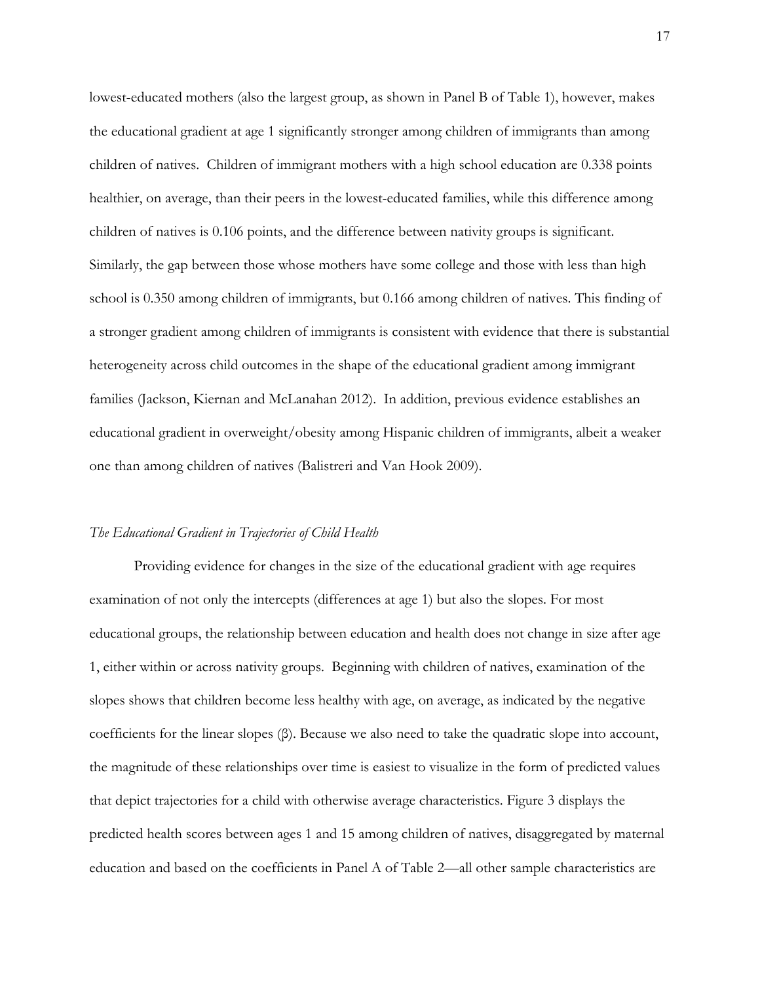lowest-educated mothers (also the largest group, as shown in Panel B of Table 1), however, makes the educational gradient at age 1 significantly stronger among children of immigrants than among children of natives. Children of immigrant mothers with a high school education are 0.338 points healthier, on average, than their peers in the lowest-educated families, while this difference among children of natives is 0.106 points, and the difference between nativity groups is significant. Similarly, the gap between those whose mothers have some college and those with less than high school is 0.350 among children of immigrants, but 0.166 among children of natives. This finding of a stronger gradient among children of immigrants is consistent with evidence that there is substantial heterogeneity across child outcomes in the shape of the educational gradient among immigrant families (Jackson, Kiernan and McLanahan 2012). In addition, previous evidence establishes an educational gradient in overweight/obesity among Hispanic children of immigrants, albeit a weaker one than among children of natives (Balistreri and Van Hook 2009).

# *The Educational Gradient in Trajectories of Child Health*

Providing evidence for changes in the size of the educational gradient with age requires examination of not only the intercepts (differences at age 1) but also the slopes. For most educational groups, the relationship between education and health does not change in size after age 1, either within or across nativity groups. Beginning with children of natives, examination of the slopes shows that children become less healthy with age, on average, as indicated by the negative coefficients for the linear slopes (β). Because we also need to take the quadratic slope into account, the magnitude of these relationships over time is easiest to visualize in the form of predicted values that depict trajectories for a child with otherwise average characteristics. Figure 3 displays the predicted health scores between ages 1 and 15 among children of natives, disaggregated by maternal education and based on the coefficients in Panel A of Table 2—all other sample characteristics are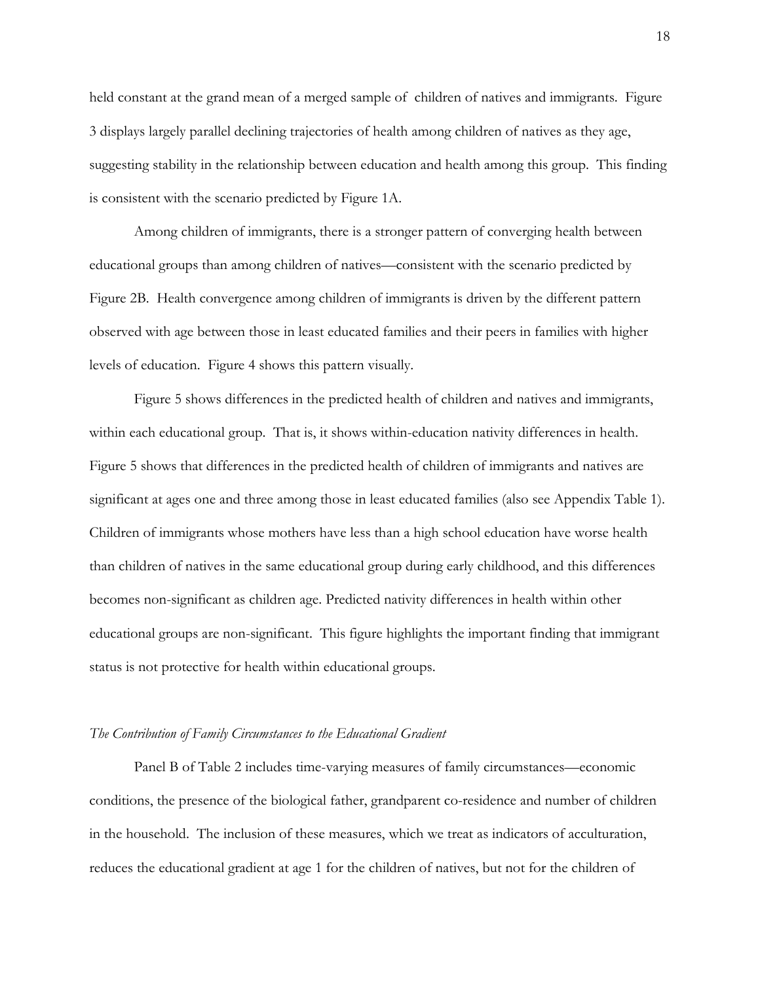held constant at the grand mean of a merged sample of children of natives and immigrants. Figure 3 displays largely parallel declining trajectories of health among children of natives as they age, suggesting stability in the relationship between education and health among this group. This finding is consistent with the scenario predicted by Figure 1A.

Among children of immigrants, there is a stronger pattern of converging health between educational groups than among children of natives—consistent with the scenario predicted by Figure 2B. Health convergence among children of immigrants is driven by the different pattern observed with age between those in least educated families and their peers in families with higher levels of education. Figure 4 shows this pattern visually.

Figure 5 shows differences in the predicted health of children and natives and immigrants, within each educational group. That is, it shows within-education nativity differences in health. Figure 5 shows that differences in the predicted health of children of immigrants and natives are significant at ages one and three among those in least educated families (also see Appendix Table 1). Children of immigrants whose mothers have less than a high school education have worse health than children of natives in the same educational group during early childhood, and this differences becomes non-significant as children age. Predicted nativity differences in health within other educational groups are non-significant. This figure highlights the important finding that immigrant status is not protective for health within educational groups.

#### *The Contribution of Family Circumstances to the Educational Gradient*

Panel B of Table 2 includes time-varying measures of family circumstances—economic conditions, the presence of the biological father, grandparent co-residence and number of children in the household. The inclusion of these measures, which we treat as indicators of acculturation, reduces the educational gradient at age 1 for the children of natives, but not for the children of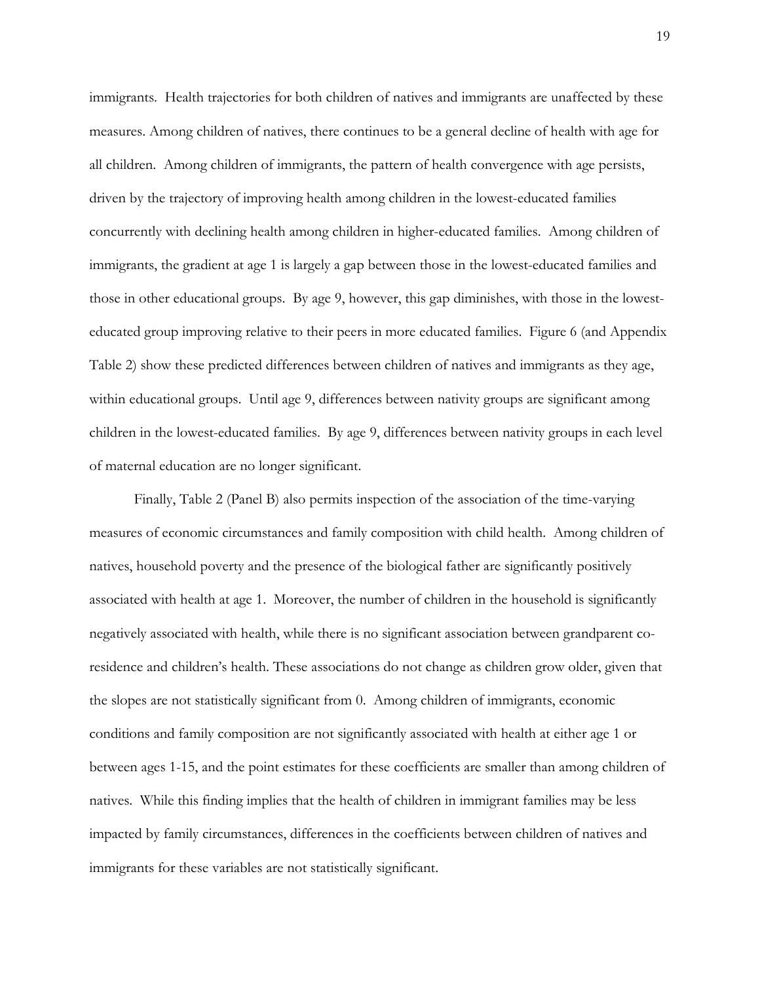immigrants. Health trajectories for both children of natives and immigrants are unaffected by these measures. Among children of natives, there continues to be a general decline of health with age for all children. Among children of immigrants, the pattern of health convergence with age persists, driven by the trajectory of improving health among children in the lowest-educated families concurrently with declining health among children in higher-educated families. Among children of immigrants, the gradient at age 1 is largely a gap between those in the lowest-educated families and those in other educational groups. By age 9, however, this gap diminishes, with those in the lowesteducated group improving relative to their peers in more educated families. Figure 6 (and Appendix Table 2) show these predicted differences between children of natives and immigrants as they age, within educational groups. Until age 9, differences between nativity groups are significant among children in the lowest-educated families. By age 9, differences between nativity groups in each level of maternal education are no longer significant.

Finally, Table 2 (Panel B) also permits inspection of the association of the time-varying measures of economic circumstances and family composition with child health. Among children of natives, household poverty and the presence of the biological father are significantly positively associated with health at age 1. Moreover, the number of children in the household is significantly negatively associated with health, while there is no significant association between grandparent coresidence and children's health. These associations do not change as children grow older, given that the slopes are not statistically significant from 0. Among children of immigrants, economic conditions and family composition are not significantly associated with health at either age 1 or between ages 1-15, and the point estimates for these coefficients are smaller than among children of natives. While this finding implies that the health of children in immigrant families may be less impacted by family circumstances, differences in the coefficients between children of natives and immigrants for these variables are not statistically significant.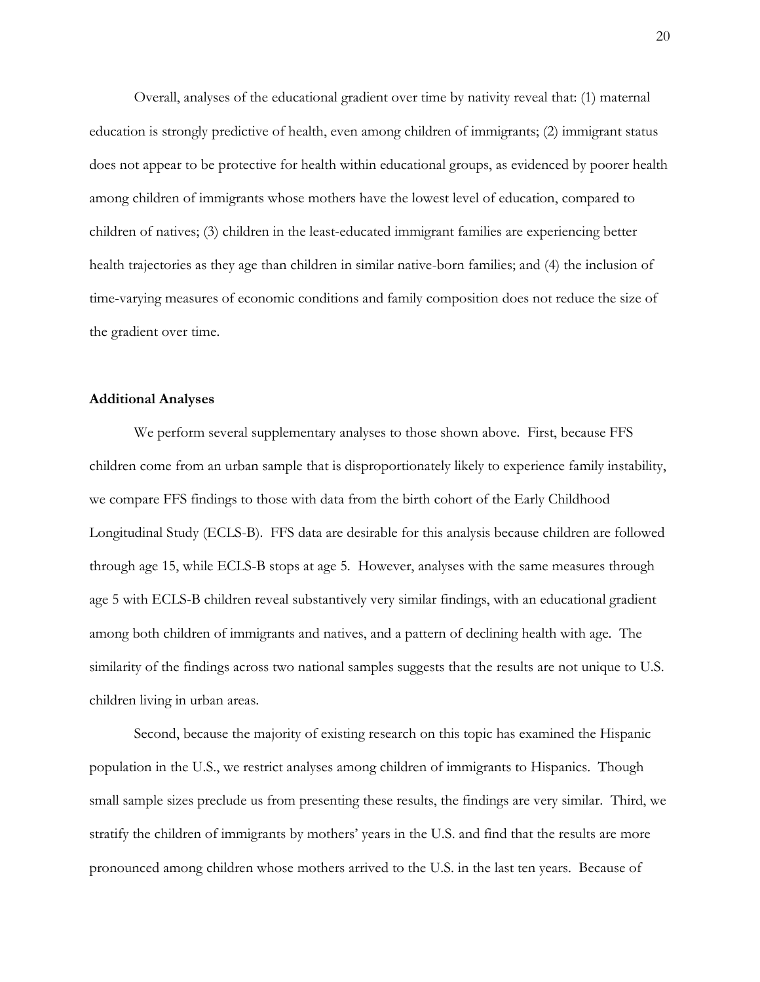Overall, analyses of the educational gradient over time by nativity reveal that: (1) maternal education is strongly predictive of health, even among children of immigrants; (2) immigrant status does not appear to be protective for health within educational groups, as evidenced by poorer health among children of immigrants whose mothers have the lowest level of education, compared to children of natives; (3) children in the least-educated immigrant families are experiencing better health trajectories as they age than children in similar native-born families; and (4) the inclusion of time-varying measures of economic conditions and family composition does not reduce the size of the gradient over time.

#### **Additional Analyses**

We perform several supplementary analyses to those shown above. First, because FFS children come from an urban sample that is disproportionately likely to experience family instability, we compare FFS findings to those with data from the birth cohort of the Early Childhood Longitudinal Study (ECLS-B). FFS data are desirable for this analysis because children are followed through age 15, while ECLS-B stops at age 5. However, analyses with the same measures through age 5 with ECLS-B children reveal substantively very similar findings, with an educational gradient among both children of immigrants and natives, and a pattern of declining health with age. The similarity of the findings across two national samples suggests that the results are not unique to U.S. children living in urban areas.

Second, because the majority of existing research on this topic has examined the Hispanic population in the U.S., we restrict analyses among children of immigrants to Hispanics. Though small sample sizes preclude us from presenting these results, the findings are very similar. Third, we stratify the children of immigrants by mothers' years in the U.S. and find that the results are more pronounced among children whose mothers arrived to the U.S. in the last ten years. Because of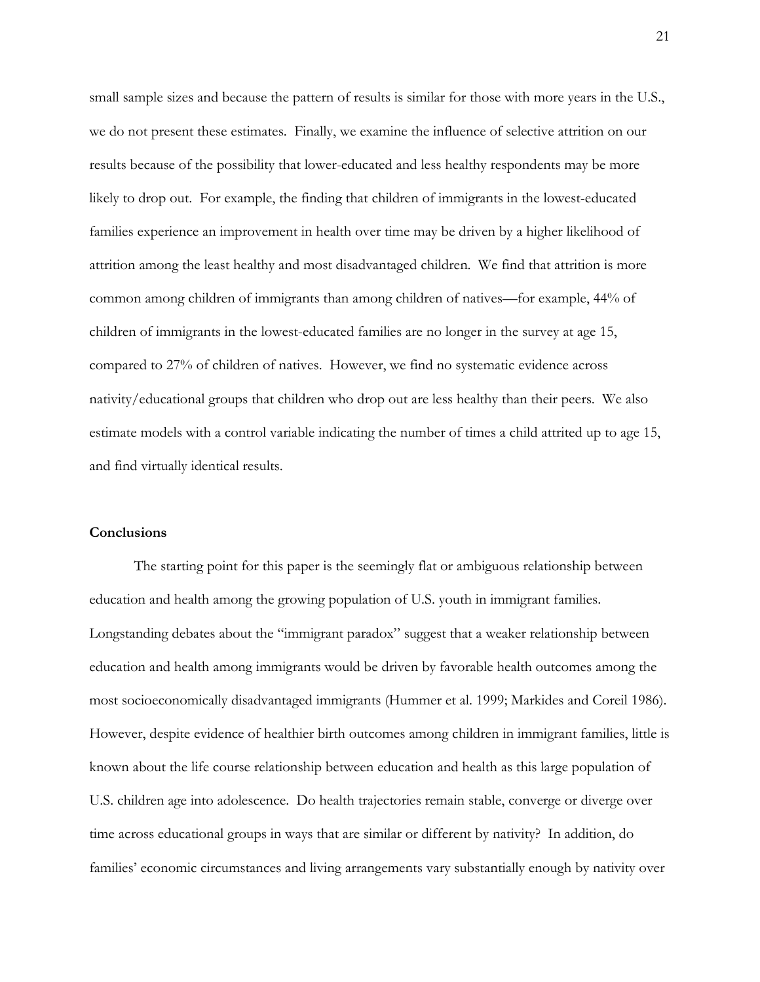small sample sizes and because the pattern of results is similar for those with more years in the U.S., we do not present these estimates. Finally, we examine the influence of selective attrition on our results because of the possibility that lower-educated and less healthy respondents may be more likely to drop out. For example, the finding that children of immigrants in the lowest-educated families experience an improvement in health over time may be driven by a higher likelihood of attrition among the least healthy and most disadvantaged children. We find that attrition is more common among children of immigrants than among children of natives—for example, 44% of children of immigrants in the lowest-educated families are no longer in the survey at age 15, compared to 27% of children of natives. However, we find no systematic evidence across nativity/educational groups that children who drop out are less healthy than their peers. We also estimate models with a control variable indicating the number of times a child attrited up to age 15, and find virtually identical results.

# **Conclusions**

The starting point for this paper is the seemingly flat or ambiguous relationship between education and health among the growing population of U.S. youth in immigrant families. Longstanding debates about the "immigrant paradox" suggest that a weaker relationship between education and health among immigrants would be driven by favorable health outcomes among the most socioeconomically disadvantaged immigrants (Hummer et al. 1999; Markides and Coreil 1986). However, despite evidence of healthier birth outcomes among children in immigrant families, little is known about the life course relationship between education and health as this large population of U.S. children age into adolescence. Do health trajectories remain stable, converge or diverge over time across educational groups in ways that are similar or different by nativity? In addition, do families' economic circumstances and living arrangements vary substantially enough by nativity over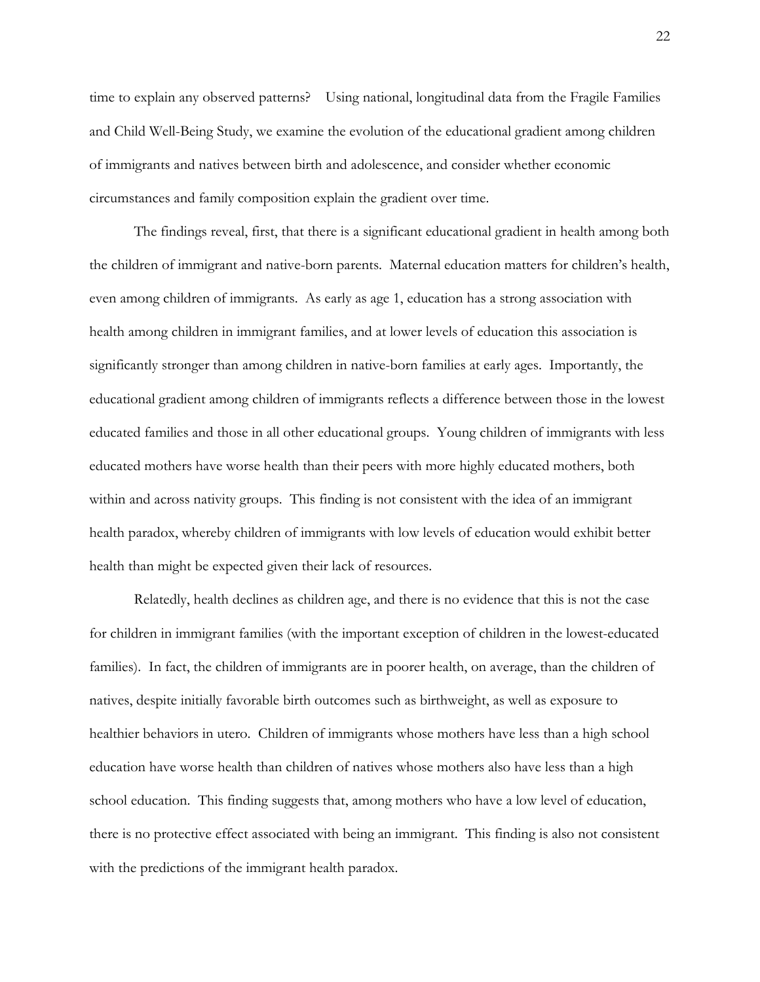time to explain any observed patterns? Using national, longitudinal data from the Fragile Families and Child Well-Being Study, we examine the evolution of the educational gradient among children of immigrants and natives between birth and adolescence, and consider whether economic circumstances and family composition explain the gradient over time.

The findings reveal, first, that there is a significant educational gradient in health among both the children of immigrant and native-born parents. Maternal education matters for children's health, even among children of immigrants. As early as age 1, education has a strong association with health among children in immigrant families, and at lower levels of education this association is significantly stronger than among children in native-born families at early ages. Importantly, the educational gradient among children of immigrants reflects a difference between those in the lowest educated families and those in all other educational groups. Young children of immigrants with less educated mothers have worse health than their peers with more highly educated mothers, both within and across nativity groups. This finding is not consistent with the idea of an immigrant health paradox, whereby children of immigrants with low levels of education would exhibit better health than might be expected given their lack of resources.

Relatedly, health declines as children age, and there is no evidence that this is not the case for children in immigrant families (with the important exception of children in the lowest-educated families). In fact, the children of immigrants are in poorer health, on average, than the children of natives, despite initially favorable birth outcomes such as birthweight, as well as exposure to healthier behaviors in utero. Children of immigrants whose mothers have less than a high school education have worse health than children of natives whose mothers also have less than a high school education. This finding suggests that, among mothers who have a low level of education, there is no protective effect associated with being an immigrant. This finding is also not consistent with the predictions of the immigrant health paradox.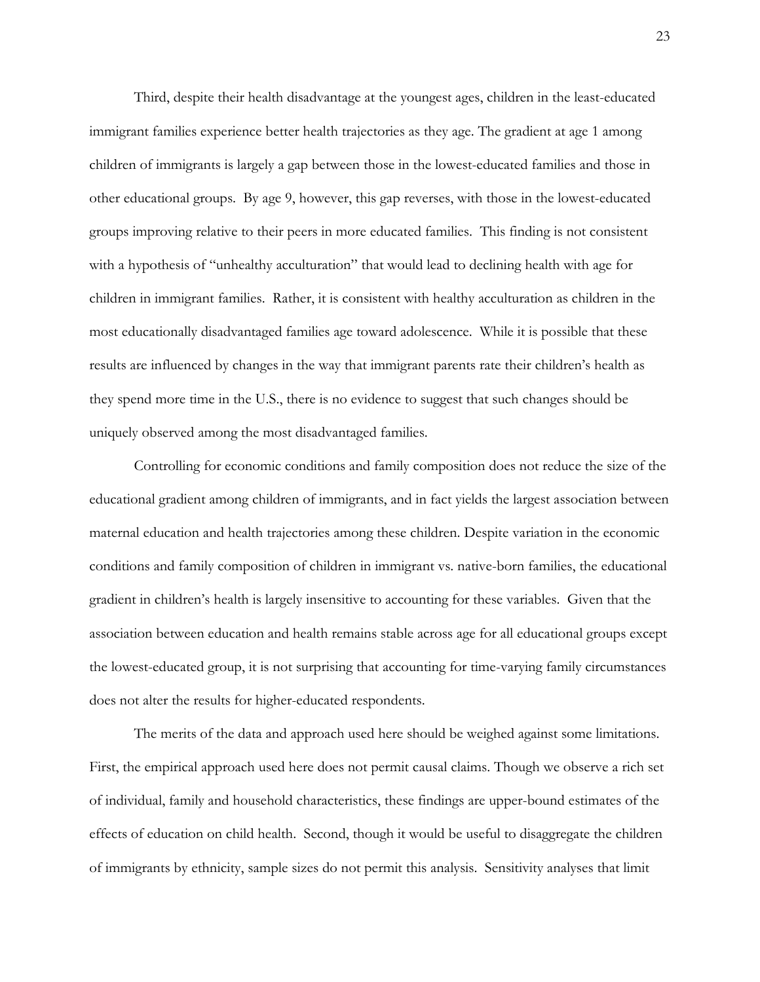Third, despite their health disadvantage at the youngest ages, children in the least-educated immigrant families experience better health trajectories as they age. The gradient at age 1 among children of immigrants is largely a gap between those in the lowest-educated families and those in other educational groups. By age 9, however, this gap reverses, with those in the lowest-educated groups improving relative to their peers in more educated families. This finding is not consistent with a hypothesis of "unhealthy acculturation" that would lead to declining health with age for children in immigrant families. Rather, it is consistent with healthy acculturation as children in the most educationally disadvantaged families age toward adolescence. While it is possible that these results are influenced by changes in the way that immigrant parents rate their children's health as they spend more time in the U.S., there is no evidence to suggest that such changes should be uniquely observed among the most disadvantaged families.

Controlling for economic conditions and family composition does not reduce the size of the educational gradient among children of immigrants, and in fact yields the largest association between maternal education and health trajectories among these children. Despite variation in the economic conditions and family composition of children in immigrant vs. native-born families, the educational gradient in children's health is largely insensitive to accounting for these variables. Given that the association between education and health remains stable across age for all educational groups except the lowest-educated group, it is not surprising that accounting for time-varying family circumstances does not alter the results for higher-educated respondents.

The merits of the data and approach used here should be weighed against some limitations. First, the empirical approach used here does not permit causal claims. Though we observe a rich set of individual, family and household characteristics, these findings are upper-bound estimates of the effects of education on child health. Second, though it would be useful to disaggregate the children of immigrants by ethnicity, sample sizes do not permit this analysis. Sensitivity analyses that limit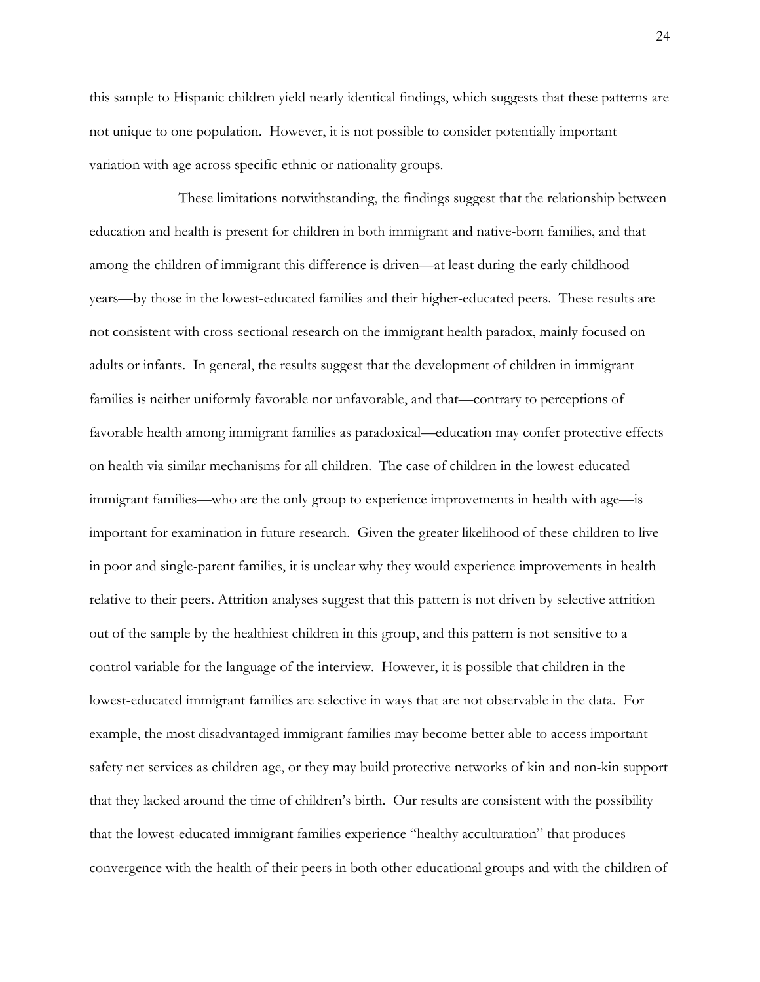this sample to Hispanic children yield nearly identical findings, which suggests that these patterns are not unique to one population. However, it is not possible to consider potentially important variation with age across specific ethnic or nationality groups.

These limitations notwithstanding, the findings suggest that the relationship between education and health is present for children in both immigrant and native-born families, and that among the children of immigrant this difference is driven—at least during the early childhood years—by those in the lowest-educated families and their higher-educated peers. These results are not consistent with cross-sectional research on the immigrant health paradox, mainly focused on adults or infants. In general, the results suggest that the development of children in immigrant families is neither uniformly favorable nor unfavorable, and that—contrary to perceptions of favorable health among immigrant families as paradoxical—education may confer protective effects on health via similar mechanisms for all children. The case of children in the lowest-educated immigrant families—who are the only group to experience improvements in health with age—is important for examination in future research. Given the greater likelihood of these children to live in poor and single-parent families, it is unclear why they would experience improvements in health relative to their peers. Attrition analyses suggest that this pattern is not driven by selective attrition out of the sample by the healthiest children in this group, and this pattern is not sensitive to a control variable for the language of the interview. However, it is possible that children in the lowest-educated immigrant families are selective in ways that are not observable in the data. For example, the most disadvantaged immigrant families may become better able to access important safety net services as children age, or they may build protective networks of kin and non-kin support that they lacked around the time of children's birth. Our results are consistent with the possibility that the lowest-educated immigrant families experience "healthy acculturation" that produces convergence with the health of their peers in both other educational groups and with the children of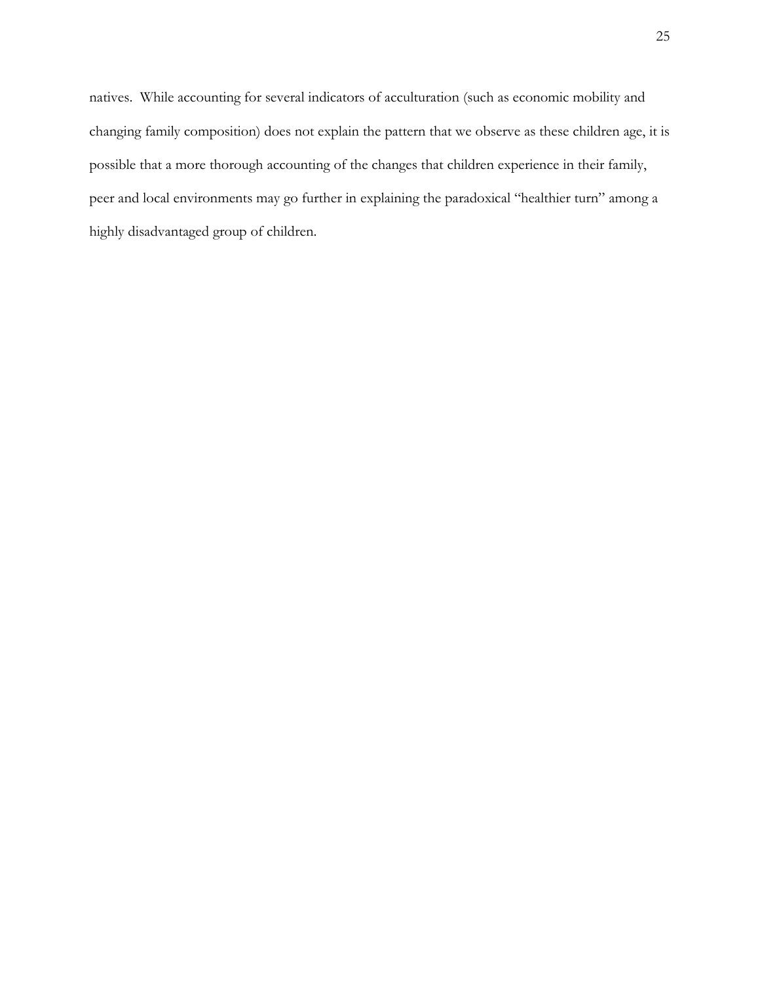natives. While accounting for several indicators of acculturation (such as economic mobility and changing family composition) does not explain the pattern that we observe as these children age, it is possible that a more thorough accounting of the changes that children experience in their family, peer and local environments may go further in explaining the paradoxical "healthier turn" among a highly disadvantaged group of children.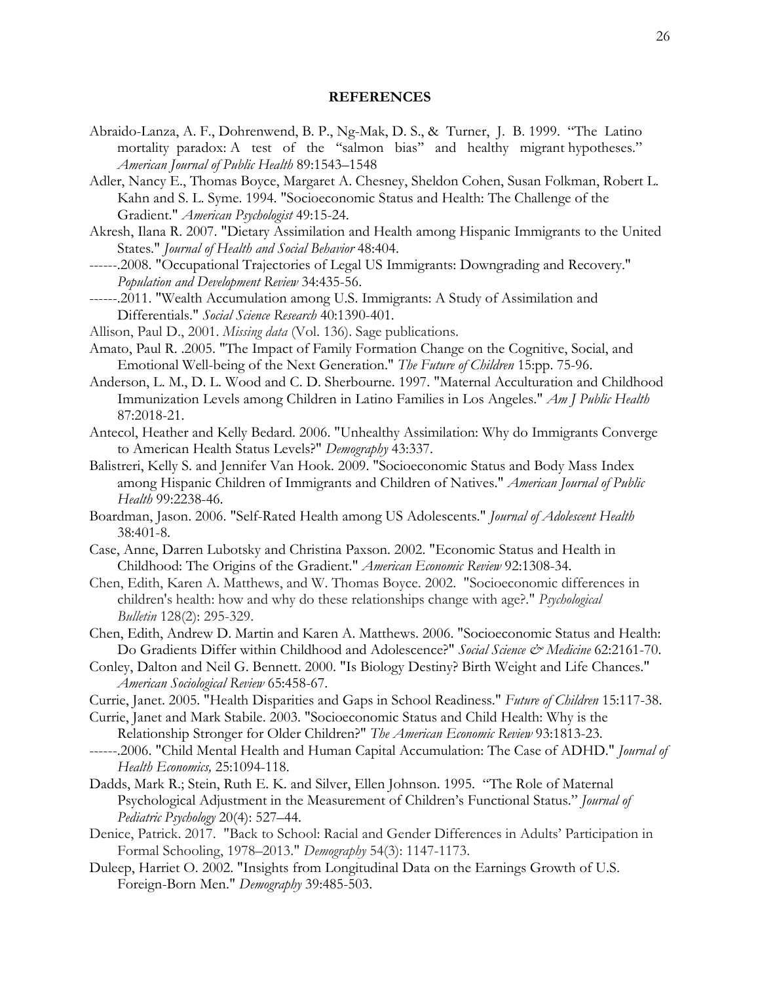#### **REFERENCES**

- Abraido-Lanza, A. F., Dohrenwend, B. P., Ng-Mak, D. S., & Turner, J. B. 1999. "The Latino mortality paradox: A test of the "salmon bias" and healthy migrant hypotheses." *American Journal of Public Health* 89:1543–1548
- Adler, Nancy E., Thomas Boyce, Margaret A. Chesney, Sheldon Cohen, Susan Folkman, Robert L. Kahn and S. L. Syme. 1994. "Socioeconomic Status and Health: The Challenge of the Gradient." *American Psychologist* 49:15-24.
- Akresh, Ilana R. 2007. "Dietary Assimilation and Health among Hispanic Immigrants to the United States." *Journal of Health and Social Behavior* 48:404.
- ------.2008. "Occupational Trajectories of Legal US Immigrants: Downgrading and Recovery." *Population and Development Review* 34:435-56.
- ------.2011. "Wealth Accumulation among U.S. Immigrants: A Study of Assimilation and Differentials." *Social Science Research* 40:1390-401.
- Allison, Paul D., 2001. *Missing data* (Vol. 136). Sage publications.
- Amato, Paul R. .2005. "The Impact of Family Formation Change on the Cognitive, Social, and Emotional Well-being of the Next Generation." *The Future of Children* 15:pp. 75-96.
- Anderson, L. M., D. L. Wood and C. D. Sherbourne. 1997. "Maternal Acculturation and Childhood Immunization Levels among Children in Latino Families in Los Angeles." *Am J Public Health* 87:2018-21.
- Antecol, Heather and Kelly Bedard. 2006. "Unhealthy Assimilation: Why do Immigrants Converge to American Health Status Levels?" *Demography* 43:337.
- Balistreri, Kelly S. and Jennifer Van Hook. 2009. "Socioeconomic Status and Body Mass Index among Hispanic Children of Immigrants and Children of Natives." *American Journal of Public Health* 99:2238-46.
- Boardman, Jason. 2006. "Self-Rated Health among US Adolescents." *Journal of Adolescent Health* 38:401-8.
- Case, Anne, Darren Lubotsky and Christina Paxson. 2002. "Economic Status and Health in Childhood: The Origins of the Gradient." *American Economic Review* 92:1308-34.
- Chen, Edith, Karen A. Matthews, and W. Thomas Boyce. 2002. "Socioeconomic differences in children's health: how and why do these relationships change with age?." *Psychological Bulletin* 128(2): 295-329.
- Chen, Edith, Andrew D. Martin and Karen A. Matthews. 2006. "Socioeconomic Status and Health: Do Gradients Differ within Childhood and Adolescence?" *Social Science & Medicine* 62:2161-70.
- Conley, Dalton and Neil G. Bennett. 2000. "Is Biology Destiny? Birth Weight and Life Chances." *American Sociological Review* 65:458-67.
- Currie, Janet. 2005. "Health Disparities and Gaps in School Readiness." *Future of Children* 15:117-38.
- Currie, Janet and Mark Stabile. 2003. "Socioeconomic Status and Child Health: Why is the Relationship Stronger for Older Children?" *The American Economic Review* 93:1813-23.
- ------.2006. "Child Mental Health and Human Capital Accumulation: The Case of ADHD." *Journal of Health Economics,* 25:1094-118.
- Dadds, Mark R.; Stein, Ruth E. K. and Silver, Ellen Johnson. 1995. "The Role of Maternal Psychological Adjustment in the Measurement of Children's Functional Status." *Journal of Pediatric Psychology* 20(4): 527–44.
- Denice, Patrick. 2017. "Back to School: Racial and Gender Differences in Adults' Participation in Formal Schooling, 1978–2013." *Demography* 54(3): 1147-1173.
- Duleep, Harriet O. 2002. "Insights from Longitudinal Data on the Earnings Growth of U.S. Foreign-Born Men." *Demography* 39:485-503.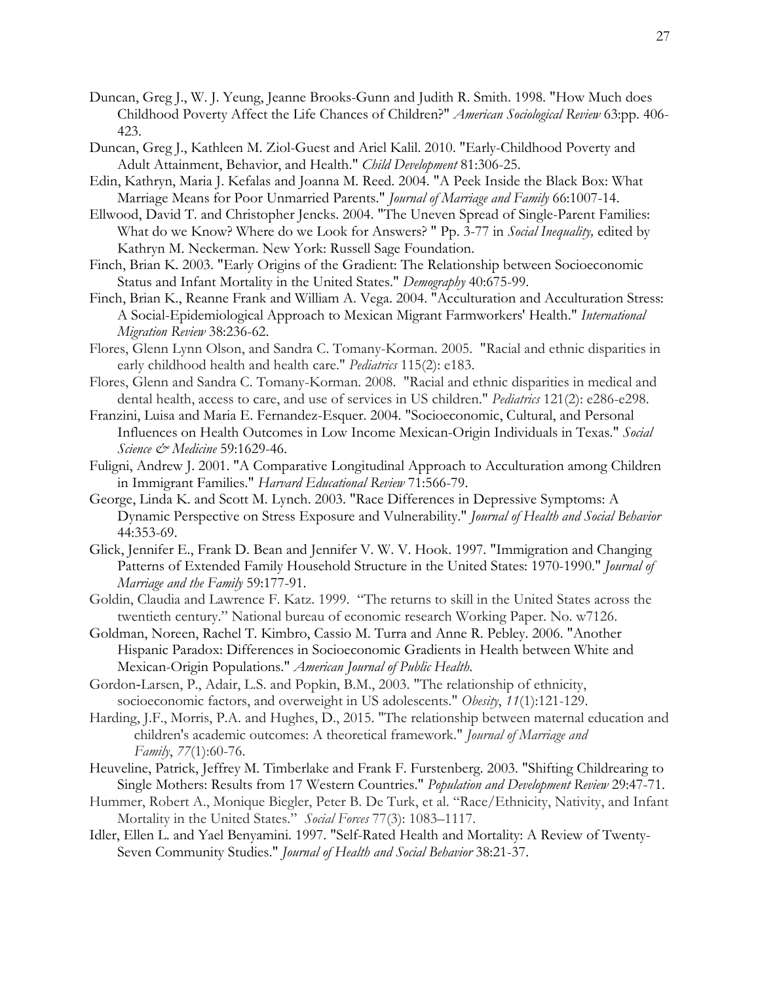- Duncan, Greg J., W. J. Yeung, Jeanne Brooks-Gunn and Judith R. Smith. 1998. "How Much does Childhood Poverty Affect the Life Chances of Children?" *American Sociological Review* 63:pp. 406- 423.
- Duncan, Greg J., Kathleen M. Ziol-Guest and Ariel Kalil. 2010. "Early-Childhood Poverty and Adult Attainment, Behavior, and Health." *Child Development* 81:306-25.
- Edin, Kathryn, Maria J. Kefalas and Joanna M. Reed. 2004. "A Peek Inside the Black Box: What Marriage Means for Poor Unmarried Parents." *Journal of Marriage and Family* 66:1007-14.
- Ellwood, David T. and Christopher Jencks. 2004. "The Uneven Spread of Single-Parent Families: What do we Know? Where do we Look for Answers? " Pp. 3-77 in *Social Inequality,* edited by Kathryn M. Neckerman. New York: Russell Sage Foundation.
- Finch, Brian K. 2003. "Early Origins of the Gradient: The Relationship between Socioeconomic Status and Infant Mortality in the United States." *Demography* 40:675-99.
- Finch, Brian K., Reanne Frank and William A. Vega. 2004. "Acculturation and Acculturation Stress: A Social-Epidemiological Approach to Mexican Migrant Farmworkers' Health." *International Migration Review* 38:236-62.
- Flores, Glenn Lynn Olson, and Sandra C. Tomany-Korman. 2005. "Racial and ethnic disparities in early childhood health and health care." *Pediatrics* 115(2): e183.
- Flores, Glenn and Sandra C. Tomany-Korman. 2008. "Racial and ethnic disparities in medical and dental health, access to care, and use of services in US children." *Pediatrics* 121(2): e286-e298.
- Franzini, Luisa and Maria E. Fernandez-Esquer. 2004. "Socioeconomic, Cultural, and Personal Influences on Health Outcomes in Low Income Mexican-Origin Individuals in Texas." *Social Science & Medicine* 59:1629-46.
- Fuligni, Andrew J. 2001. "A Comparative Longitudinal Approach to Acculturation among Children in Immigrant Families." *Harvard Educational Review* 71:566-79.
- George, Linda K. and Scott M. Lynch. 2003. "Race Differences in Depressive Symptoms: A Dynamic Perspective on Stress Exposure and Vulnerability." *Journal of Health and Social Behavior* 44:353-69.
- Glick, Jennifer E., Frank D. Bean and Jennifer V. W. V. Hook. 1997. "Immigration and Changing Patterns of Extended Family Household Structure in the United States: 1970-1990." *Journal of Marriage and the Family* 59:177-91.
- Goldin, Claudia and Lawrence F. Katz. 1999. "The returns to skill in the United States across the twentieth century." National bureau of economic research Working Paper. No. w7126.
- Goldman, Noreen, Rachel T. Kimbro, Cassio M. Turra and Anne R. Pebley. 2006. "Another Hispanic Paradox: Differences in Socioeconomic Gradients in Health between White and Mexican-Origin Populations." *American Journal of Public Health*.
- Gordon‐Larsen, P., Adair, L.S. and Popkin, B.M., 2003. "The relationship of ethnicity, socioeconomic factors, and overweight in US adolescents." *Obesity*, *11*(1):121-129.
- Harding, J.F., Morris, P.A. and Hughes, D., 2015. "The relationship between maternal education and children's academic outcomes: A theoretical framework." *Journal of Marriage and Family*, *77*(1):60-76.
- Heuveline, Patrick, Jeffrey M. Timberlake and Frank F. Furstenberg. 2003. "Shifting Childrearing to Single Mothers: Results from 17 Western Countries." *Population and Development Review* 29:47-71.
- Hummer, Robert A., Monique Biegler, Peter B. De Turk, et al. "Race/Ethnicity, Nativity, and Infant Mortality in the United States." *Social Forces* 77(3): 1083–1117.
- Idler, Ellen L. and Yael Benyamini. 1997. "Self-Rated Health and Mortality: A Review of Twenty-Seven Community Studies." *Journal of Health and Social Behavior* 38:21-37.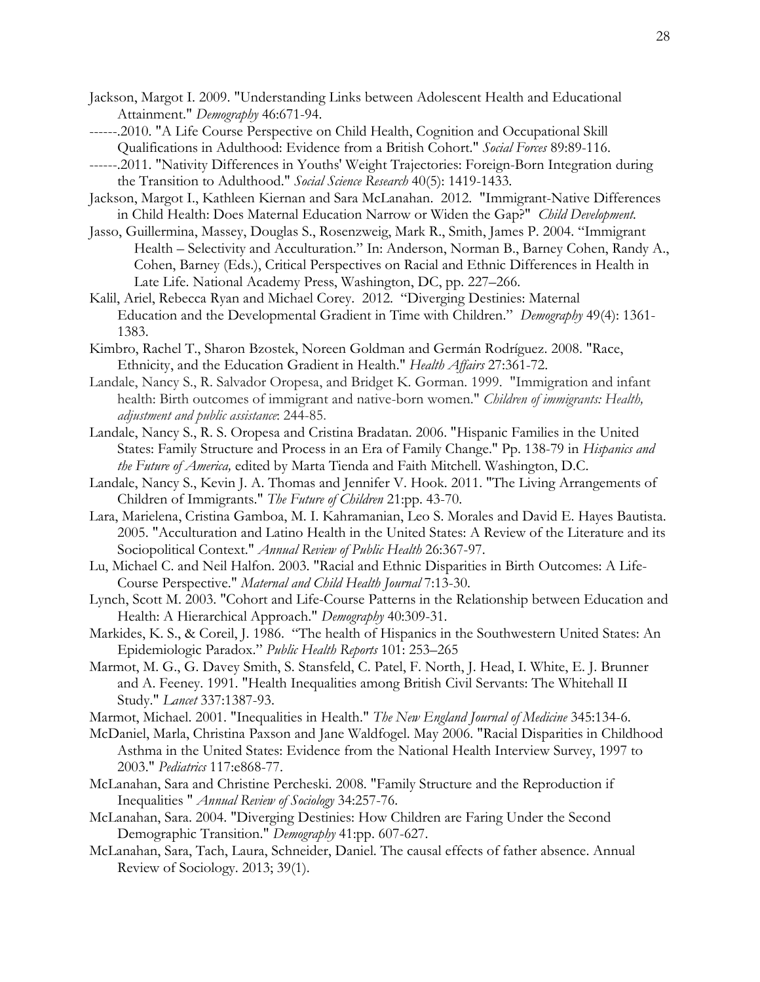- Jackson, Margot I. 2009. "Understanding Links between Adolescent Health and Educational Attainment." *Demography* 46:671-94.
- ------.2010. "A Life Course Perspective on Child Health, Cognition and Occupational Skill Qualifications in Adulthood: Evidence from a British Cohort." *Social Forces* 89:89-116.
- ------.2011. "Nativity Differences in Youths' Weight Trajectories: Foreign-Born Integration during the Transition to Adulthood." *Social Science Research* 40(5): 1419-1433*.*
- Jackson, Margot I., Kathleen Kiernan and Sara McLanahan. 2012. "Immigrant-Native Differences in Child Health: Does Maternal Education Narrow or Widen the Gap?" *Child Development.*
- Jasso, Guillermina, Massey, Douglas S., Rosenzweig, Mark R., Smith, James P. 2004. "Immigrant Health – Selectivity and Acculturation." In: Anderson, Norman B., Barney Cohen, Randy A., Cohen, Barney (Eds.), Critical Perspectives on Racial and Ethnic Differences in Health in Late Life. National Academy Press, Washington, DC, pp. 227–266.
- Kalil, Ariel, Rebecca Ryan and Michael Corey. 2012. "Diverging Destinies: Maternal Education and the Developmental Gradient in Time with Children." *Demography* 49(4): 1361- 1383.
- Kimbro, Rachel T., Sharon Bzostek, Noreen Goldman and Germán Rodríguez. 2008. "Race, Ethnicity, and the Education Gradient in Health." *Health Affairs* 27:361-72.
- Landale, Nancy S., R. Salvador Oropesa, and Bridget K. Gorman. 1999. "Immigration and infant health: Birth outcomes of immigrant and native-born women." *Children of immigrants: Health, adjustment and public assistance*: 244-85.
- Landale, Nancy S., R. S. Oropesa and Cristina Bradatan. 2006. "Hispanic Families in the United States: Family Structure and Process in an Era of Family Change." Pp. 138-79 in *Hispanics and the Future of America,* edited by Marta Tienda and Faith Mitchell. Washington, D.C.
- Landale, Nancy S., Kevin J. A. Thomas and Jennifer V. Hook. 2011. "The Living Arrangements of Children of Immigrants." *The Future of Children* 21:pp. 43-70.
- Lara, Marielena, Cristina Gamboa, M. I. Kahramanian, Leo S. Morales and David E. Hayes Bautista. 2005. "Acculturation and Latino Health in the United States: A Review of the Literature and its Sociopolitical Context." *Annual Review of Public Health* 26:367-97.
- Lu, Michael C. and Neil Halfon. 2003. "Racial and Ethnic Disparities in Birth Outcomes: A Life-Course Perspective." *Maternal and Child Health Journal* 7:13-30.
- Lynch, Scott M. 2003. "Cohort and Life-Course Patterns in the Relationship between Education and Health: A Hierarchical Approach." *Demography* 40:309-31.
- Markides, K. S., & Coreil, J. 1986. "The health of Hispanics in the Southwestern United States: An Epidemiologic Paradox." *Public Health Reports* 101: 253–265
- Marmot, M. G., G. Davey Smith, S. Stansfeld, C. Patel, F. North, J. Head, I. White, E. J. Brunner and A. Feeney. 1991. "Health Inequalities among British Civil Servants: The Whitehall II Study." *Lancet* 337:1387-93.
- Marmot, Michael. 2001. "Inequalities in Health." *The New England Journal of Medicine* 345:134-6.
- McDaniel, Marla, Christina Paxson and Jane Waldfogel. May 2006. "Racial Disparities in Childhood Asthma in the United States: Evidence from the National Health Interview Survey, 1997 to 2003." *Pediatrics* 117:e868-77.
- McLanahan, Sara and Christine Percheski. 2008. "Family Structure and the Reproduction if Inequalities " *Annual Review of Sociology* 34:257-76.
- McLanahan, Sara. 2004. "Diverging Destinies: How Children are Faring Under the Second Demographic Transition." *Demography* 41:pp. 607-627.
- McLanahan, Sara, Tach, Laura, Schneider, Daniel. The causal effects of father absence. Annual Review of Sociology. 2013; 39(1).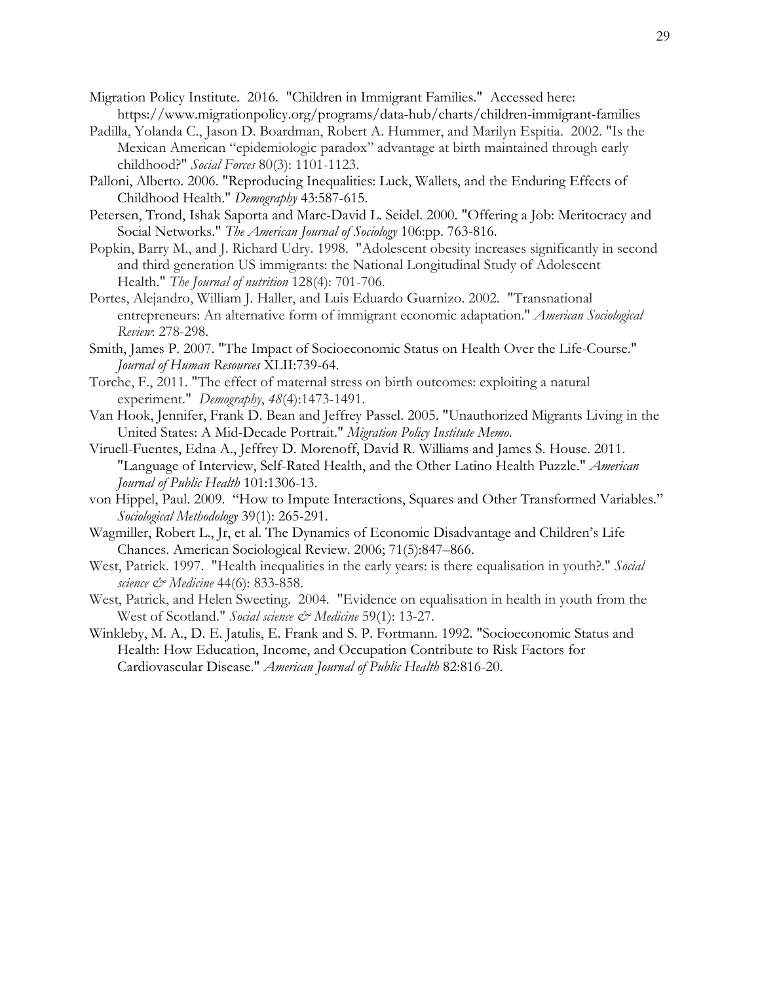- Migration Policy Institute. 2016. "Children in Immigrant Families." Accessed here: https://www.migrationpolicy.org/programs/data-hub/charts/children-immigrant-families
- Padilla, Yolanda C., Jason D. Boardman, Robert A. Hummer, and Marilyn Espitia. 2002. "Is the Mexican American "epidemiologic paradox" advantage at birth maintained through early childhood?" *Social Forces* 80(3): 1101-1123.
- Palloni, Alberto. 2006. "Reproducing Inequalities: Luck, Wallets, and the Enduring Effects of Childhood Health." *Demography* 43:587-615.
- Petersen, Trond, Ishak Saporta and Marc-David L. Seidel. 2000. "Offering a Job: Meritocracy and Social Networks." *The American Journal of Sociology* 106:pp. 763-816.
- Popkin, Barry M., and J. Richard Udry. 1998. "Adolescent obesity increases significantly in second and third generation US immigrants: the National Longitudinal Study of Adolescent Health." *The Journal of nutrition* 128(4): 701-706.
- Portes, Alejandro, William J. Haller, and Luis Eduardo Guarnizo. 2002. "Transnational entrepreneurs: An alternative form of immigrant economic adaptation." *American Sociological Review*: 278-298.
- Smith, James P. 2007. "The Impact of Socioeconomic Status on Health Over the Life-Course." *Journal of Human Resources* XLII:739-64.
- Torche, F., 2011. "The effect of maternal stress on birth outcomes: exploiting a natural experiment." *Demography*, *48*(4):1473-1491.
- Van Hook, Jennifer, Frank D. Bean and Jeffrey Passel. 2005. "Unauthorized Migrants Living in the United States: A Mid-Decade Portrait." *Migration Policy Institute Memo*.
- Viruell-Fuentes, Edna A., Jeffrey D. Morenoff, David R. Williams and James S. House. 2011. "Language of Interview, Self-Rated Health, and the Other Latino Health Puzzle." *American Journal of Public Health* 101:1306-13.
- von Hippel, Paul. 2009. "How to Impute Interactions, Squares and Other Transformed Variables." *Sociological Methodology* 39(1): 265-291.
- Wagmiller, Robert L., Jr, et al. The Dynamics of Economic Disadvantage and Children's Life Chances. American Sociological Review. 2006; 71(5):847–866.
- West, Patrick. 1997. "Health inequalities in the early years: is there equalisation in youth?." *Social science & Medicine* 44(6): 833-858.
- West, Patrick, and Helen Sweeting. 2004. "Evidence on equalisation in health in youth from the West of Scotland." *Social science & Medicine* 59(1): 13-27.
- Winkleby, M. A., D. E. Jatulis, E. Frank and S. P. Fortmann. 1992. "Socioeconomic Status and Health: How Education, Income, and Occupation Contribute to Risk Factors for Cardiovascular Disease." *American Journal of Public Health* 82:816-20.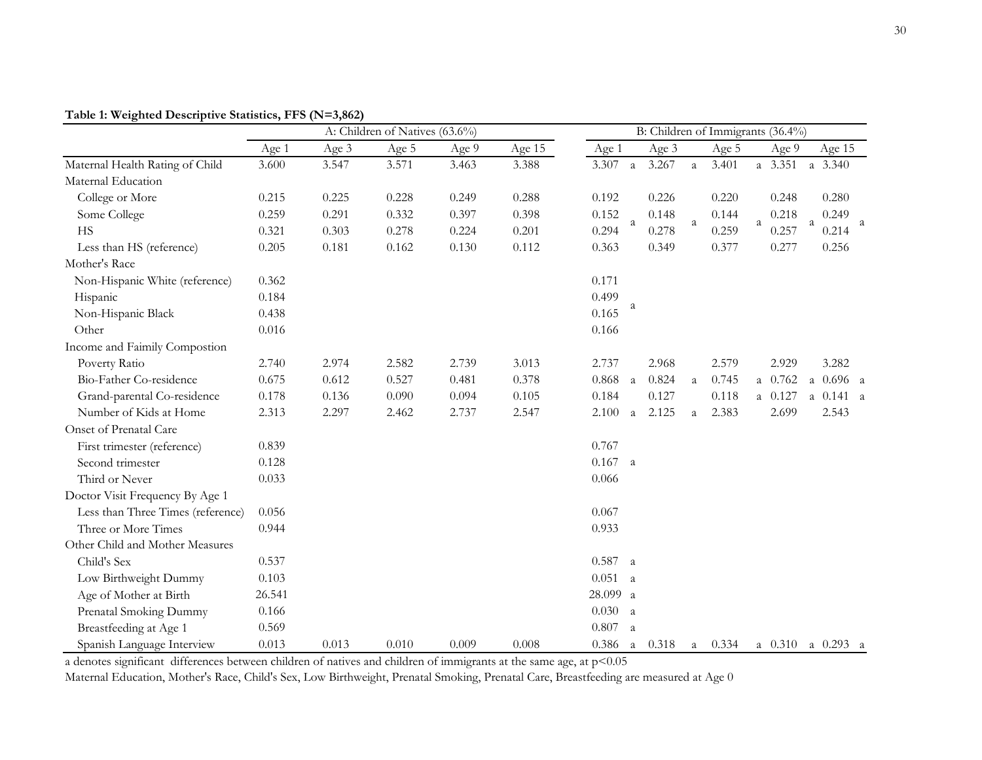|                                   | A: Children of Natives (63.6%) |       |       |       | B: Children of Immigrants (36.4%) |                         |       |          |       |                   |   |            |
|-----------------------------------|--------------------------------|-------|-------|-------|-----------------------------------|-------------------------|-------|----------|-------|-------------------|---|------------|
|                                   | Age 1                          | Age 3 | Age 5 | Age 9 | Age 15                            | Age 1                   | Age 3 |          | Age 5 | Age 9             |   | Age 15     |
| Maternal Health Rating of Child   | 3.600                          | 3.547 | 3.571 | 3.463 | 3.388                             | 3.307 $a$               | 3.267 | $\rm{a}$ | 3.401 | a 3.351 a 3.340   |   |            |
| Maternal Education                |                                |       |       |       |                                   |                         |       |          |       |                   |   |            |
| College or More                   | 0.215                          | 0.225 | 0.228 | 0.249 | 0.288                             | 0.192                   | 0.226 |          | 0.220 | 0.248             |   | 0.280      |
| Some College                      | 0.259                          | 0.291 | 0.332 | 0.397 | 0.398                             | 0.152                   | 0.148 |          | 0.144 | 0.218             |   | 0.249      |
| HS                                | 0.321                          | 0.303 | 0.278 | 0.224 | 0.201                             | a<br>0.294              | 0.278 | $\rm{a}$ | 0.259 | a<br>0.257        | a | a<br>0.214 |
| Less than HS (reference)          | 0.205                          | 0.181 | 0.162 | 0.130 | 0.112                             | 0.363                   | 0.349 |          | 0.377 | 0.277             |   | 0.256      |
| Mother's Race                     |                                |       |       |       |                                   |                         |       |          |       |                   |   |            |
| Non-Hispanic White (reference)    | 0.362                          |       |       |       |                                   | 0.171                   |       |          |       |                   |   |            |
| Hispanic                          | 0.184                          |       |       |       |                                   | 0.499                   |       |          |       |                   |   |            |
| Non-Hispanic Black                | 0.438                          |       |       |       |                                   | а<br>0.165              |       |          |       |                   |   |            |
| Other                             | 0.016                          |       |       |       |                                   | 0.166                   |       |          |       |                   |   |            |
| Income and Faimily Compostion     |                                |       |       |       |                                   |                         |       |          |       |                   |   |            |
| Poverty Ratio                     | 2.740                          | 2.974 | 2.582 | 2.739 | 3.013                             | 2.737                   | 2.968 |          | 2.579 | 2.929             |   | 3.282      |
| Bio-Father Co-residence           | 0.675                          | 0.612 | 0.527 | 0.481 | 0.378                             | 0.868<br>a              | 0.824 | a        | 0.745 | a 0.762           |   | a 0.696 a  |
| Grand-parental Co-residence       | 0.178                          | 0.136 | 0.090 | 0.094 | 0.105                             | 0.184                   | 0.127 |          | 0.118 | $a \quad 0.127$   |   | a 0.141 a  |
| Number of Kids at Home            | 2.313                          | 2.297 | 2.462 | 2.737 | 2.547                             | 2.100<br>$\mathfrak{a}$ | 2.125 | a        | 2.383 | 2.699             |   | 2.543      |
| Onset of Prenatal Care            |                                |       |       |       |                                   |                         |       |          |       |                   |   |            |
| First trimester (reference)       | 0.839                          |       |       |       |                                   | 0.767                   |       |          |       |                   |   |            |
| Second trimester                  | 0.128                          |       |       |       |                                   | 0.167 a                 |       |          |       |                   |   |            |
| Third or Never                    | 0.033                          |       |       |       |                                   | 0.066                   |       |          |       |                   |   |            |
| Doctor Visit Frequency By Age 1   |                                |       |       |       |                                   |                         |       |          |       |                   |   |            |
| Less than Three Times (reference) | 0.056                          |       |       |       |                                   | 0.067                   |       |          |       |                   |   |            |
| Three or More Times               | 0.944                          |       |       |       |                                   | 0.933                   |       |          |       |                   |   |            |
| Other Child and Mother Measures   |                                |       |       |       |                                   |                         |       |          |       |                   |   |            |
| Child's Sex                       | 0.537                          |       |       |       |                                   | 0.587 a                 |       |          |       |                   |   |            |
| Low Birthweight Dummy             | 0.103                          |       |       |       |                                   | 0.051<br><sub>a</sub>   |       |          |       |                   |   |            |
| Age of Mother at Birth            | 26.541                         |       |       |       |                                   | 28.099 a                |       |          |       |                   |   |            |
| Prenatal Smoking Dummy            | 0.166                          |       |       |       |                                   | 0.030<br><sub>a</sub>   |       |          |       |                   |   |            |
| Breastfeeding at Age 1            | 0.569                          |       |       |       |                                   | 0.807<br>a              |       |          |       |                   |   |            |
| Spanish Language Interview        | 0.013                          | 0.013 | 0.010 | 0.009 | 0.008                             | 0.386<br>a              | 0.318 | a        | 0.334 | a 0.310 a 0.293 a |   |            |

**Table 1: Weighted Descriptive Statistics, FFS (N=3,862)**

a denotes significant differences between children of natives and children of immigrants at the same age, at p<0.05

Maternal Education, Mother's Race, Child's Sex, Low Birthweight, Prenatal Smoking, Prenatal Care, Breastfeeding are measured at Age 0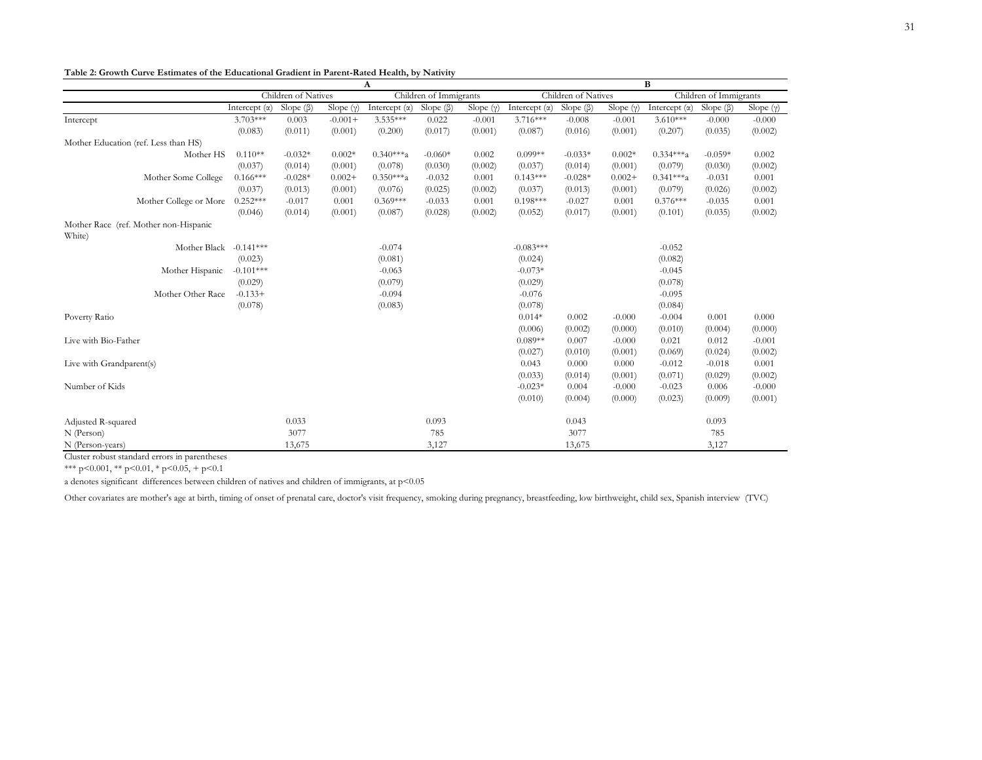**Table 2: Growth Curve Estimates of the Educational Gradient in Parent-Rated Health, by Nativity**

|                                                 | A                    |                 |                        |                      | B                   |                  |                      |                        |                  |               |                 |                  |
|-------------------------------------------------|----------------------|-----------------|------------------------|----------------------|---------------------|------------------|----------------------|------------------------|------------------|---------------|-----------------|------------------|
|                                                 | Children of Natives  |                 | Children of Immigrants |                      | Children of Natives |                  |                      | Children of Immigrants |                  |               |                 |                  |
|                                                 | Intercept $(\alpha)$ | Slope $(\beta)$ | Slope $(\gamma)$       | Intercept $(\alpha)$ | Slope $(\beta)$     | Slope $(\gamma)$ | Intercept $(\alpha)$ | Slope $(\beta)$        | Slope $(\gamma)$ | Intercept (α) | Slope $(\beta)$ | Slope $(\gamma)$ |
| Intercept                                       | $3.703***$           | 0.003           | $-0.001 +$             | 3.535***             | 0.022               | $-0.001$         | $3.716***$           | $-0.008$               | $-0.001$         | $3.610***$    | $-0.000$        | $-0.000$         |
|                                                 | (0.083)              | (0.011)         | (0.001)                | (0.200)              | (0.017)             | (0.001)          | (0.087)              | (0.016)                | (0.001)          | (0.207)       | (0.035)         | (0.002)          |
| Mother Education (ref. Less than HS)            |                      |                 |                        |                      |                     |                  |                      |                        |                  |               |                 |                  |
| Mother HS                                       | $0.110**$            | $-0.032*$       | $0.002*$               | $0.340***a$          | $-0.060*$           | 0.002            | $0.099**$            | $-0.033*$              | $0.002*$         | $0.334***a$   | $-0.059*$       | 0.002            |
|                                                 | (0.037)              | (0.014)         | (0.001)                | (0.078)              | (0.030)             | (0.002)          | (0.037)              | (0.014)                | (0.001)          | (0.079)       | (0.030)         | (0.002)          |
| Mother Some College                             | $0.166***$           | $-0.028*$       | $0.002+$               | $0.350***a$          | $-0.032$            | 0.001            | $0.143***$           | $-0.028*$              | $0.002+$         | $0.341***a$   | $-0.031$        | 0.001            |
|                                                 | (0.037)              | (0.013)         | (0.001)                | (0.076)              | (0.025)             | (0.002)          | (0.037)              | (0.013)                | (0.001)          | (0.079)       | (0.026)         | (0.002)          |
| Mother College or More                          | $0.252***$           | $-0.017$        | 0.001                  | $0.369***$           | $-0.033$            | 0.001            | $0.198***$           | $-0.027$               | 0.001            | $0.376***$    | $-0.035$        | 0.001            |
|                                                 | (0.046)              | (0.014)         | (0.001)                | (0.087)              | (0.028)             | (0.002)          | (0.052)              | (0.017)                | (0.001)          | (0.101)       | (0.035)         | (0.002)          |
| Mother Race (ref. Mother non-Hispanic<br>White) |                      |                 |                        |                      |                     |                  |                      |                        |                  |               |                 |                  |
| Mother Black                                    | $-0.141***$          |                 |                        | $-0.074$             |                     |                  | $-0.083***$          |                        |                  | $-0.052$      |                 |                  |
|                                                 | (0.023)              |                 |                        | (0.081)              |                     |                  | (0.024)              |                        |                  | (0.082)       |                 |                  |
| Mother Hispanic                                 | $-0.101***$          |                 |                        | $-0.063$             |                     |                  | $-0.073*$            |                        |                  | $-0.045$      |                 |                  |
|                                                 | (0.029)              |                 |                        | (0.079)              |                     |                  | (0.029)              |                        |                  | (0.078)       |                 |                  |
| Mother Other Race                               | $-0.133+$            |                 |                        | $-0.094$             |                     |                  | $-0.076$             |                        |                  | $-0.095$      |                 |                  |
|                                                 | (0.078)              |                 |                        | (0.083)              |                     |                  | (0.078)              |                        |                  | (0.084)       |                 |                  |
| Poverty Ratio                                   |                      |                 |                        |                      |                     |                  | $0.014*$             | 0.002                  | $-0.000$         | $-0.004$      | 0.001           | 0.000            |
|                                                 |                      |                 |                        |                      |                     |                  | (0.006)              | (0.002)                | (0.000)          | (0.010)       | (0.004)         | (0.000)          |
| Live with Bio-Father                            |                      |                 |                        |                      |                     |                  | $0.089**$            | 0.007                  | $-0.000$         | 0.021         | 0.012           | $-0.001$         |
|                                                 |                      |                 |                        |                      |                     |                  | (0.027)              | (0.010)                | (0.001)          | (0.069)       | (0.024)         | (0.002)          |
| Live with Grandparent(s)                        |                      |                 |                        |                      |                     |                  | 0.043                | $0.000\,$              | 0.000            | $-0.012$      | $-0.018$        | 0.001            |
|                                                 |                      |                 |                        |                      |                     |                  | (0.033)              | (0.014)                | (0.001)          | (0.071)       | (0.029)         | (0.002)          |
| Number of Kids                                  |                      |                 |                        |                      |                     |                  | $-0.023*$            | 0.004                  | $-0.000$         | $-0.023$      | 0.006           | $-0.000$         |
|                                                 |                      |                 |                        |                      |                     |                  | (0.010)              | (0.004)                | (0.000)          | (0.023)       | (0.009)         | (0.001)          |
| Adjusted R-squared                              |                      | 0.033           |                        |                      | 0.093               |                  |                      | 0.043                  |                  |               | 0.093           |                  |
| N (Person)                                      |                      | 3077            |                        |                      | 785                 |                  |                      | 3077                   |                  |               | 785             |                  |
| N (Person-years)                                |                      | 13,675          |                        |                      | 3,127               |                  |                      | 13,675                 |                  |               | 3,127           |                  |

Cluster robust standard errors in parentheses

\*\*\* p<0.001, \*\* p<0.01, \* p<0.05, + p<0.1

a denotes significant differences between children of natives and children of immigrants, at p<0.05

Other covariates are mother's age at birth, timing of onset of prenatal care, doctor's visit frequency, smoking during pregnancy, breastfeeding, low birthweight, child sex, Spanish interview (TVC)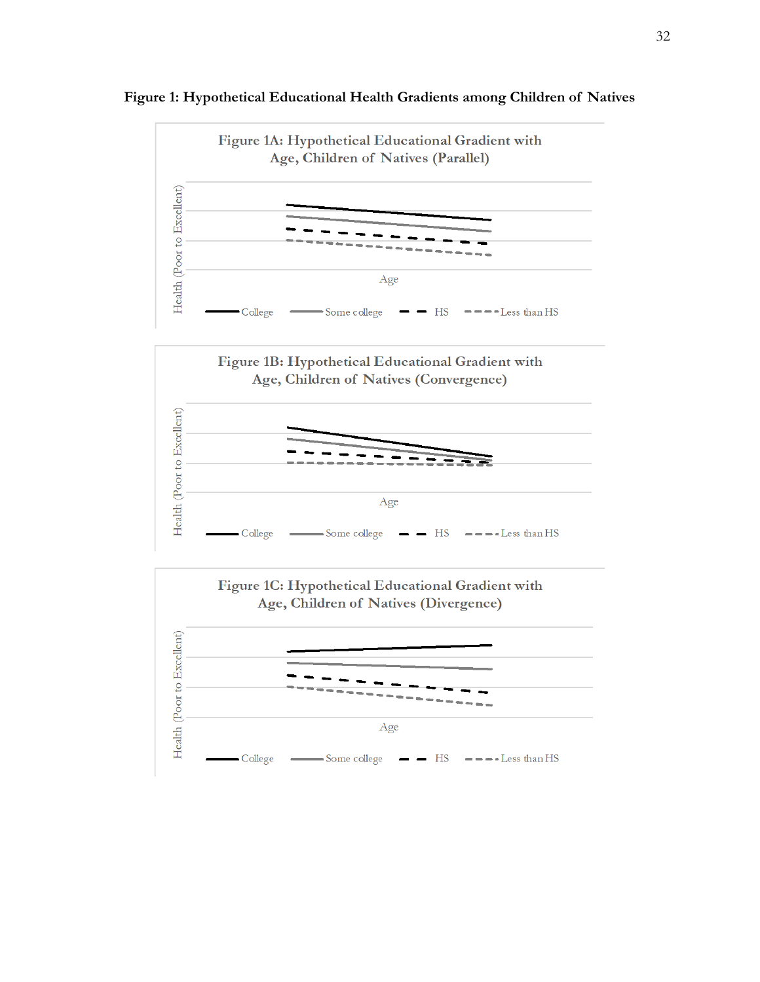



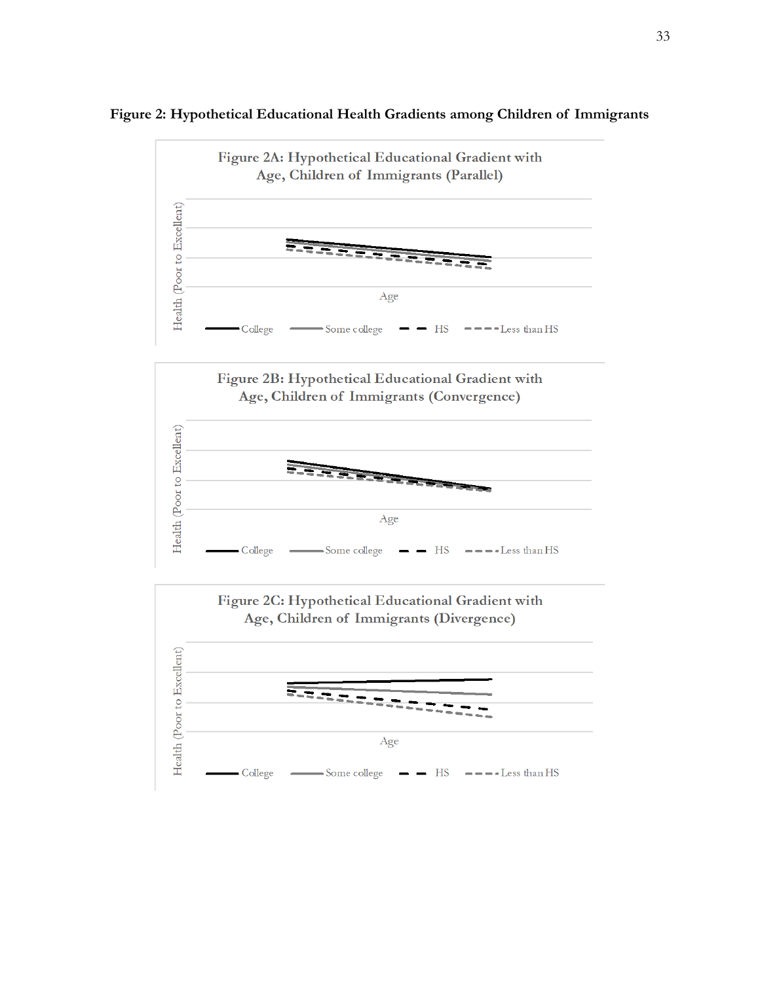

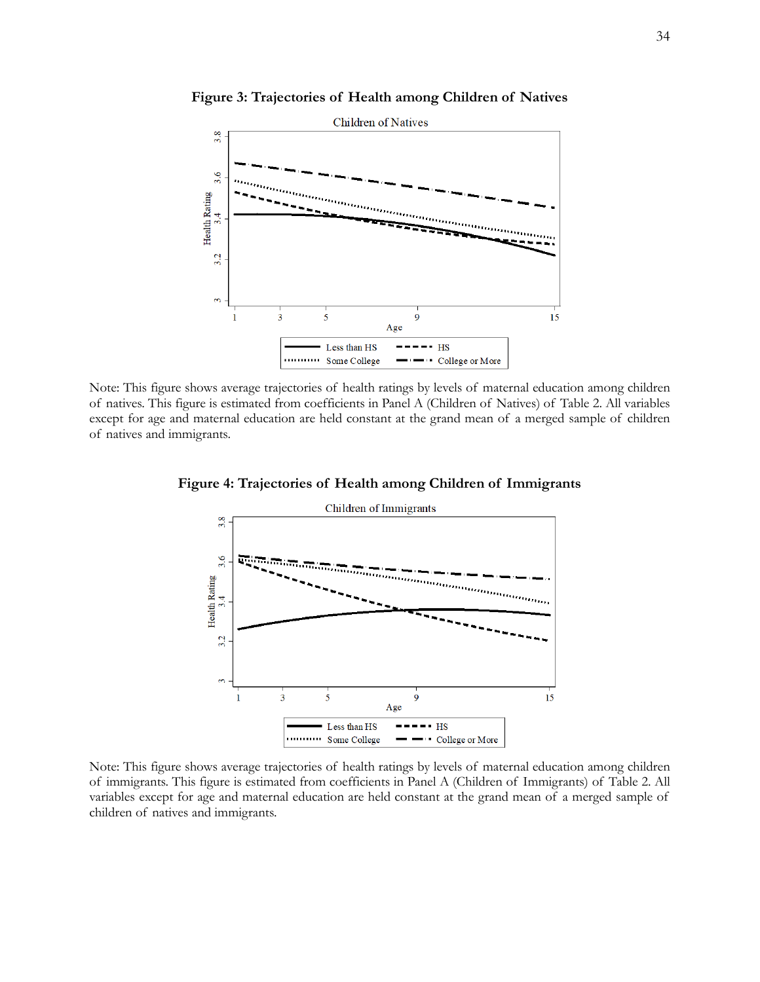

**Figure 3: Trajectories of Health among Children of Natives**

Note: This figure shows average trajectories of health ratings by levels of maternal education among children of natives. This figure is estimated from coefficients in Panel A (Children of Natives) of Table 2. All variables except for age and maternal education are held constant at the grand mean of a merged sample of children

of natives and immigrants.





Note: This figure shows average trajectories of health ratings by levels of maternal education among children of immigrants. This figure is estimated from coefficients in Panel A (Children of Immigrants) of Table 2. All variables except for age and maternal education are held constant at the grand mean of a merged sample of children of natives and immigrants.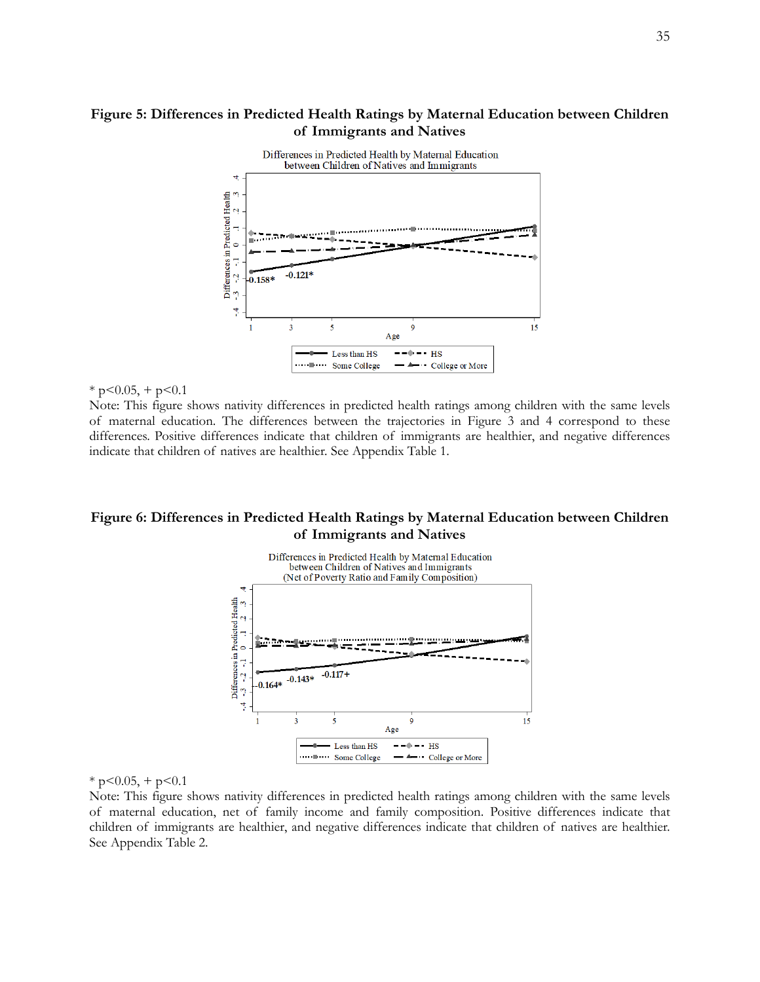### **Figure 5: Differences in Predicted Health Ratings by Maternal Education between Children of Immigrants and Natives**



 $*$  p<0.05, + p<0.1

Note: This figure shows nativity differences in predicted health ratings among children with the same levels of maternal education. The differences between the trajectories in Figure 3 and 4 correspond to these differences. Positive differences indicate that children of immigrants are healthier, and negative differences indicate that children of natives are healthier. See Appendix Table 1.

# **Figure 6: Differences in Predicted Health Ratings by Maternal Education between Children of Immigrants and Natives**



 $*$  p<0.05, + p<0.1

Note: This figure shows nativity differences in predicted health ratings among children with the same levels of maternal education, net of family income and family composition. Positive differences indicate that children of immigrants are healthier, and negative differences indicate that children of natives are healthier. See Appendix Table 2.